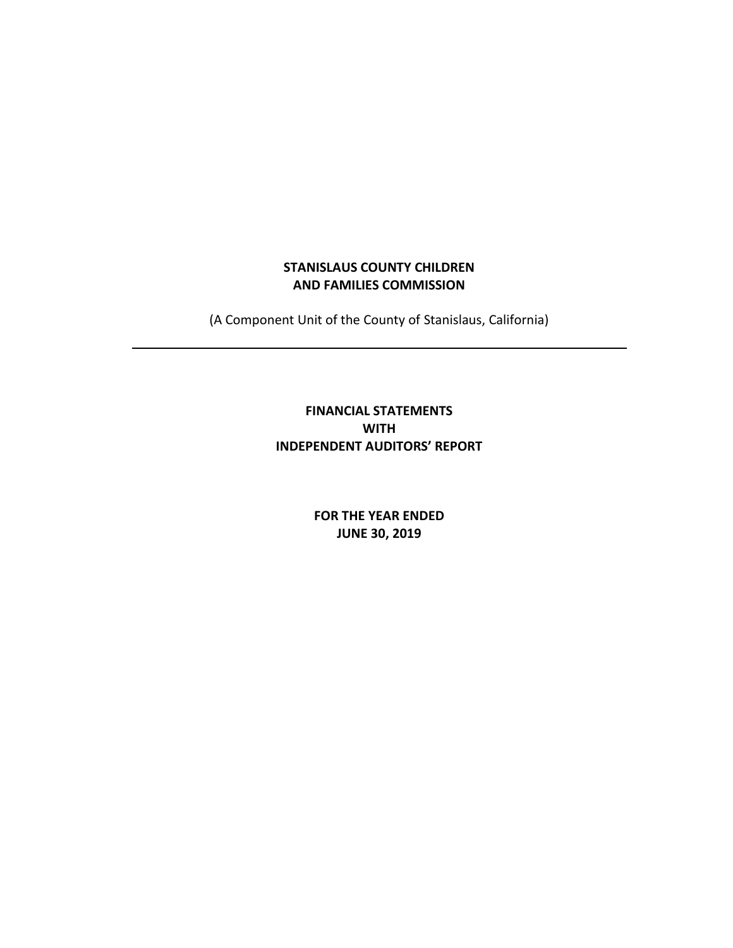# **STANISLAUS COUNTY CHILDREN AND FAMILIES COMMISSION**

(A Component Unit of the County of Stanislaus, California)

# **FINANCIAL STATEMENTS WITH INDEPENDENT AUDITORS' REPORT**

**FOR THE YEAR ENDED JUNE 30, 2019**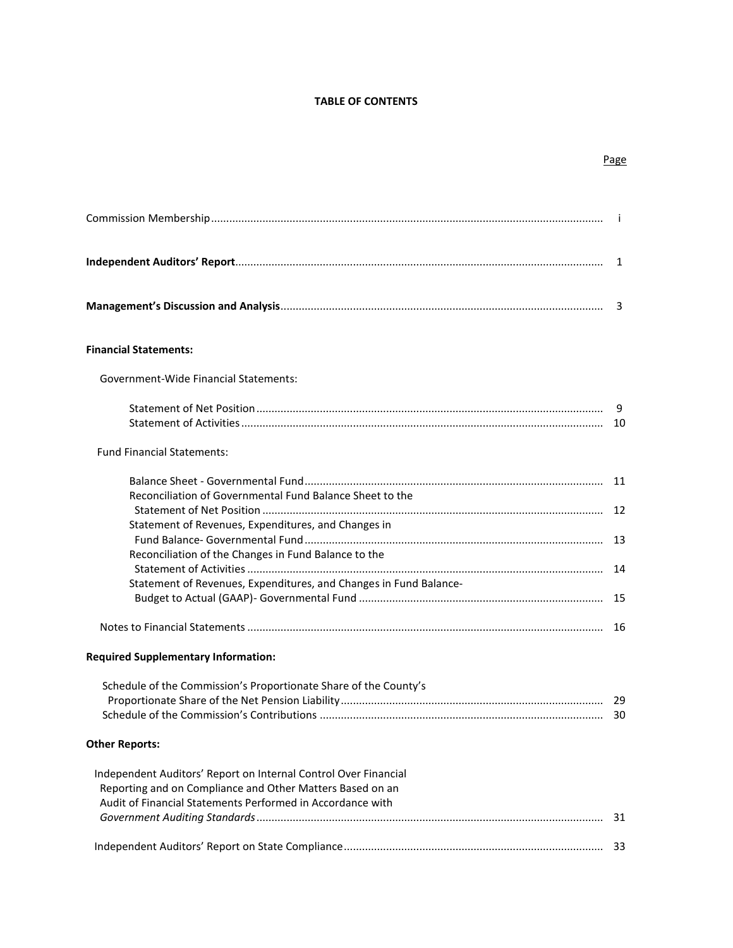# **TABLE OF CONTENTS**

| <b>Financial Statements:</b>                                      |  |
|-------------------------------------------------------------------|--|
| Government-Wide Financial Statements:                             |  |
| <b>Fund Financial Statements:</b>                                 |  |
|                                                                   |  |
| Reconciliation of Governmental Fund Balance Sheet to the          |  |
| Statement of Revenues, Expenditures, and Changes in               |  |
| Reconciliation of the Changes in Fund Balance to the              |  |
|                                                                   |  |
| Statement of Revenues, Expenditures, and Changes in Fund Balance- |  |
|                                                                   |  |
|                                                                   |  |
| <b>Required Supplementary Information:</b>                        |  |
| Schedule of the Commission's Proportionate Share of the County's  |  |
| <b>Other Reports:</b>                                             |  |
| Independent Auditors' Report on Internal Control Over Financial   |  |
| Reporting and on Compliance and Other Matters Based on an         |  |
| Audit of Financial Statements Performed in Accordance with        |  |
|                                                                   |  |
|                                                                   |  |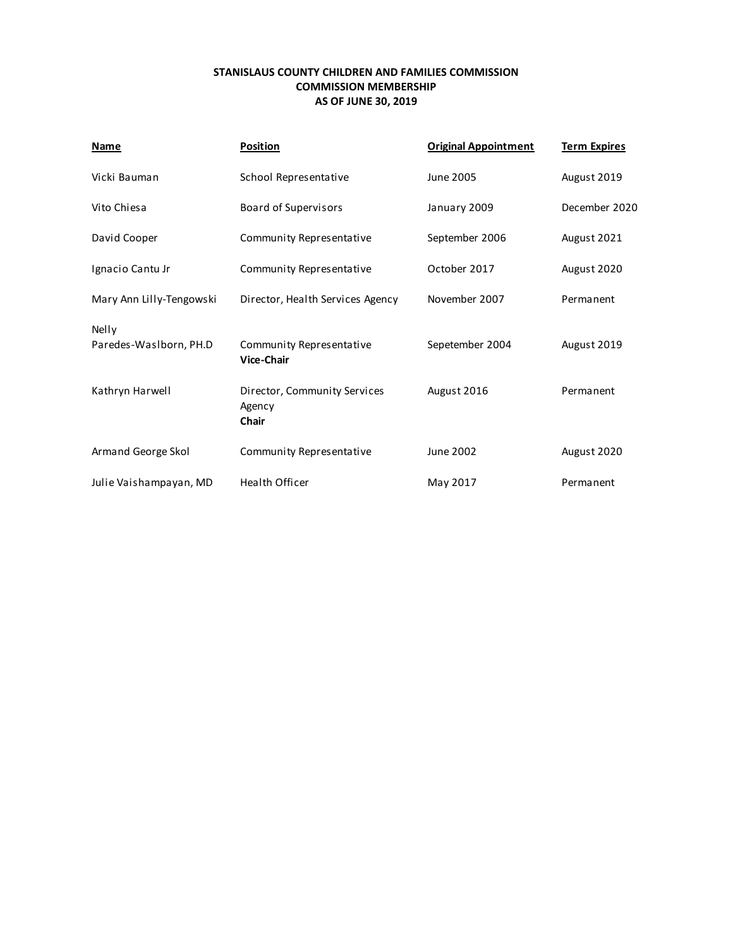# **STANISLAUS COUNTY CHILDREN AND FAMILIES COMMISSION COMMISSION MEMBERSHIP AS OF JUNE 30, 2019**

| Name                            | <b>Position</b>                                        | <b>Original Appointment</b> | <b>Term Expires</b> |
|---------------------------------|--------------------------------------------------------|-----------------------------|---------------------|
| Vicki Bauman                    | School Representative                                  | June 2005                   | August 2019         |
| Vito Chiesa                     | <b>Board of Supervisors</b>                            | January 2009                | December 2020       |
| David Cooper                    | Community Representative                               | September 2006              | August 2021         |
| Ignacio Cantu Jr                | Community Representative                               | October 2017                | August 2020         |
| Mary Ann Lilly-Tengowski        | Director, Health Services Agency                       | November 2007               | Permanent           |
| Nelly<br>Paredes-Waslborn, PH.D | Community Representative<br><b>Vice-Chair</b>          | Sepetember 2004             | August 2019         |
| Kathryn Harwell                 | Director, Community Services<br>Agency<br><b>Chair</b> | August 2016                 | Permanent           |
| Armand George Skol              | Community Representative                               | June 2002                   | August 2020         |
| Julie Vaishampayan, MD          | <b>Health Officer</b>                                  | May 2017                    | Permanent           |
|                                 |                                                        |                             |                     |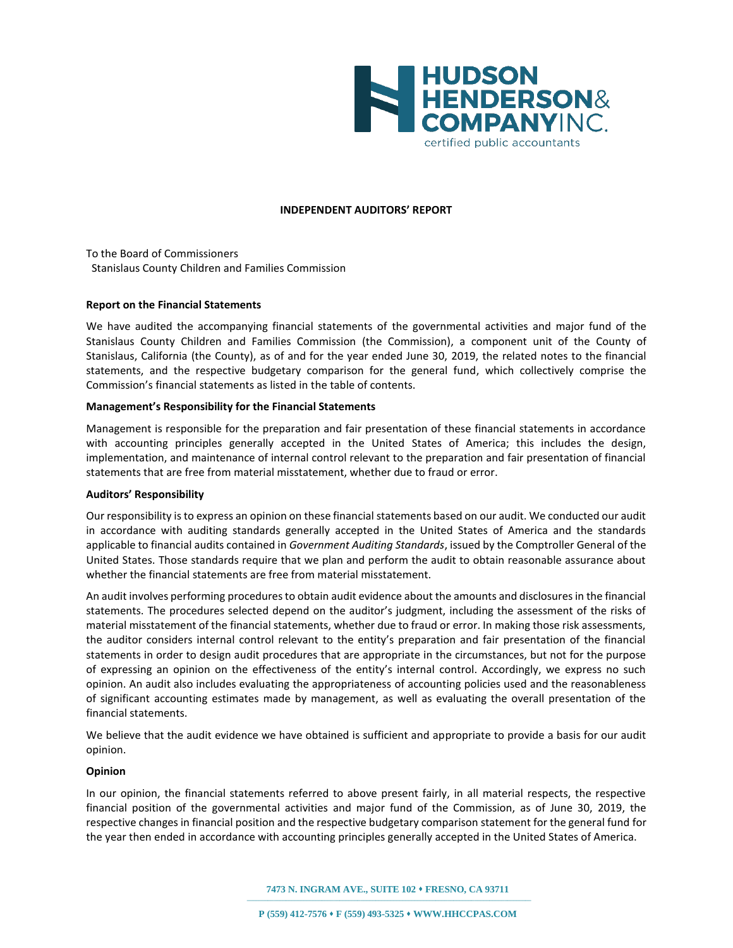

#### **INDEPENDENT AUDITORS' REPORT**

To the Board of Commissioners Stanislaus County Children and Families Commission

#### **Report on the Financial Statements**

We have audited the accompanying financial statements of the governmental activities and major fund of the Stanislaus County Children and Families Commission (the Commission), a component unit of the County of Stanislaus, California (the County), as of and for the year ended June 30, 2019, the related notes to the financial statements, and the respective budgetary comparison for the general fund, which collectively comprise the Commission's financial statements as listed in the table of contents.

#### **Management's Responsibility for the Financial Statements**

Management is responsible for the preparation and fair presentation of these financial statements in accordance with accounting principles generally accepted in the United States of America; this includes the design, implementation, and maintenance of internal control relevant to the preparation and fair presentation of financial statements that are free from material misstatement, whether due to fraud or error.

#### **Auditors' Responsibility**

Our responsibility is to express an opinion on these financial statements based on our audit. We conducted our audit in accordance with auditing standards generally accepted in the United States of America and the standards applicable to financial audits contained in *Government Auditing Standards*, issued by the Comptroller General of the United States. Those standards require that we plan and perform the audit to obtain reasonable assurance about whether the financial statements are free from material misstatement.

An audit involves performing procedures to obtain audit evidence about the amounts and disclosures in the financial statements. The procedures selected depend on the auditor's judgment, including the assessment of the risks of material misstatement of the financial statements, whether due to fraud or error. In making those risk assessments, the auditor considers internal control relevant to the entity's preparation and fair presentation of the financial statements in order to design audit procedures that are appropriate in the circumstances, but not for the purpose of expressing an opinion on the effectiveness of the entity's internal control. Accordingly, we express no such opinion. An audit also includes evaluating the appropriateness of accounting policies used and the reasonableness of significant accounting estimates made by management, as well as evaluating the overall presentation of the financial statements.

We believe that the audit evidence we have obtained is sufficient and appropriate to provide a basis for our audit opinion.

#### **Opinion**

In our opinion, the financial statements referred to above present fairly, in all material respects, the respective financial position of the governmental activities and major fund of the Commission, as of June 30, 2019, the respective changes in financial position and the respective budgetary comparison statement for the general fund for the year then ended in accordance with accounting principles generally accepted in the United States of America.

**7473 N. INGRAM AVE., SUITE 102 FRESNO, CA 93711**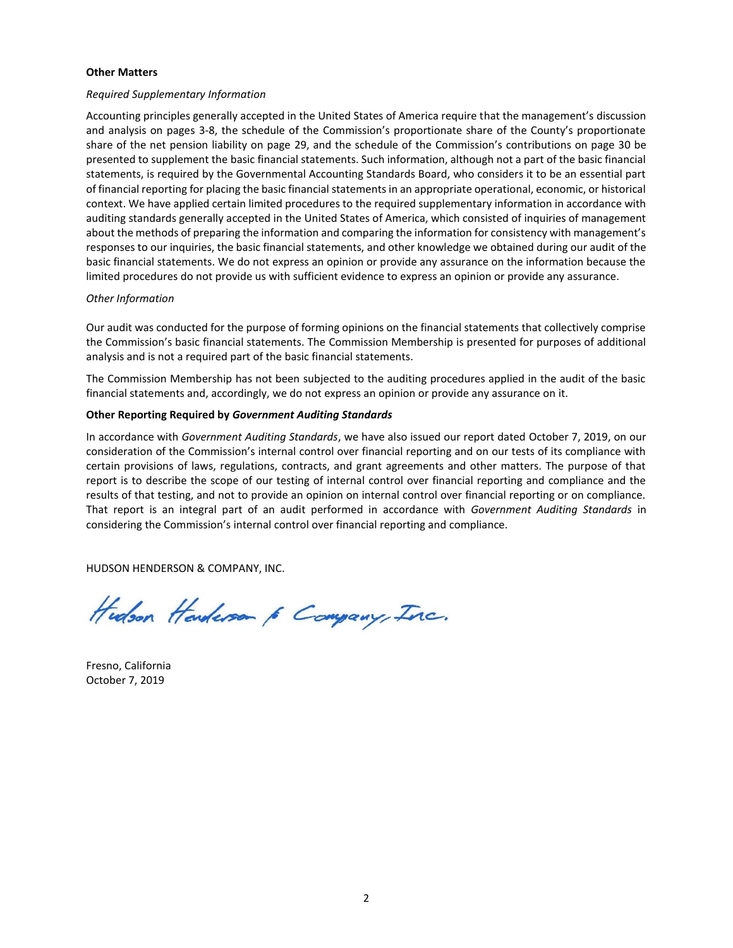#### **Other Matters**

#### *Required Supplementary Information*

Accounting principles generally accepted in the United States of America require that the management's discussion and analysis on pages 3-8, the schedule of the Commission's proportionate share of the County's proportionate share of the net pension liability on page 29, and the schedule of the Commission's contributions on page 30 be presented to supplement the basic financial statements. Such information, although not a part of the basic financial statements, is required by the Governmental Accounting Standards Board, who considers it to be an essential part of financial reporting for placing the basic financial statements in an appropriate operational, economic, or historical context. We have applied certain limited procedures to the required supplementary information in accordance with auditing standards generally accepted in the United States of America, which consisted of inquiries of management about the methods of preparing the information and comparing the information for consistency with management's responses to our inquiries, the basic financial statements, and other knowledge we obtained during our audit of the basic financial statements. We do not express an opinion or provide any assurance on the information because the limited procedures do not provide us with sufficient evidence to express an opinion or provide any assurance.

#### *Other Information*

Our audit was conducted for the purpose of forming opinions on the financial statements that collectively comprise the Commission's basic financial statements. The Commission Membership is presented for purposes of additional analysis and is not a required part of the basic financial statements.

The Commission Membership has not been subjected to the auditing procedures applied in the audit of the basic financial statements and, accordingly, we do not express an opinion or provide any assurance on it.

#### **Other Reporting Required by** *Government Auditing Standards*

In accordance with *Government Auditing Standards*, we have also issued our report dated October 7, 2019, on our consideration of the Commission's internal control over financial reporting and on our tests of its compliance with certain provisions of laws, regulations, contracts, and grant agreements and other matters. The purpose of that report is to describe the scope of our testing of internal control over financial reporting and compliance and the results of that testing, and not to provide an opinion on internal control over financial reporting or on compliance. That report is an integral part of an audit performed in accordance with *Government Auditing Standards* in considering the Commission's internal control over financial reporting and compliance.

HUDSON HENDERSON & COMPANY, INC.

Hudson Handerson 6 Company, Inc.

Fresno, California October 7, 2019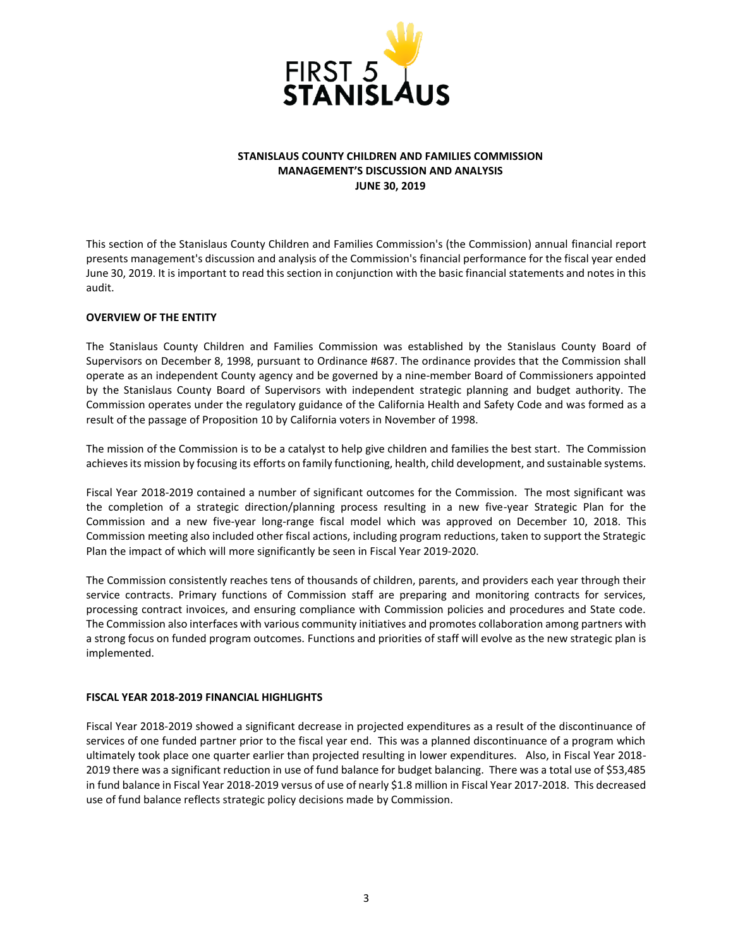

### **STANISLAUS COUNTY CHILDREN AND FAMILIES COMMISSION MANAGEMENT'S DISCUSSION AND ANALYSIS JUNE 30, 2019**

This section of the Stanislaus County Children and Families Commission's (the Commission) annual financial report presents management's discussion and analysis of the Commission's financial performance for the fiscal year ended June 30, 2019. It is important to read this section in conjunction with the basic financial statements and notes in this audit.

## **OVERVIEW OF THE ENTITY**

The Stanislaus County Children and Families Commission was established by the Stanislaus County Board of Supervisors on December 8, 1998, pursuant to Ordinance #687. The ordinance provides that the Commission shall operate as an independent County agency and be governed by a nine-member Board of Commissioners appointed by the Stanislaus County Board of Supervisors with independent strategic planning and budget authority. The Commission operates under the regulatory guidance of the California Health and Safety Code and was formed as a result of the passage of Proposition 10 by California voters in November of 1998.

The mission of the Commission is to be a catalyst to help give children and families the best start. The Commission achieves its mission by focusing its efforts on family functioning, health, child development, and sustainable systems.

Fiscal Year 2018-2019 contained a number of significant outcomes for the Commission. The most significant was the completion of a strategic direction/planning process resulting in a new five-year Strategic Plan for the Commission and a new five-year long-range fiscal model which was approved on December 10, 2018. This Commission meeting also included other fiscal actions, including program reductions, taken to support the Strategic Plan the impact of which will more significantly be seen in Fiscal Year 2019-2020.

The Commission consistently reaches tens of thousands of children, parents, and providers each year through their service contracts. Primary functions of Commission staff are preparing and monitoring contracts for services, processing contract invoices, and ensuring compliance with Commission policies and procedures and State code. The Commission also interfaces with various community initiatives and promotes collaboration among partners with a strong focus on funded program outcomes. Functions and priorities of staff will evolve as the new strategic plan is implemented.

#### **FISCAL YEAR 2018-2019 FINANCIAL HIGHLIGHTS**

Fiscal Year 2018-2019 showed a significant decrease in projected expenditures as a result of the discontinuance of services of one funded partner prior to the fiscal year end. This was a planned discontinuance of a program which ultimately took place one quarter earlier than projected resulting in lower expenditures. Also, in Fiscal Year 2018- 2019 there was a significant reduction in use of fund balance for budget balancing. There was a total use of \$53,485 in fund balance in Fiscal Year 2018-2019 versus of use of nearly \$1.8 million in Fiscal Year 2017-2018. This decreased use of fund balance reflects strategic policy decisions made by Commission.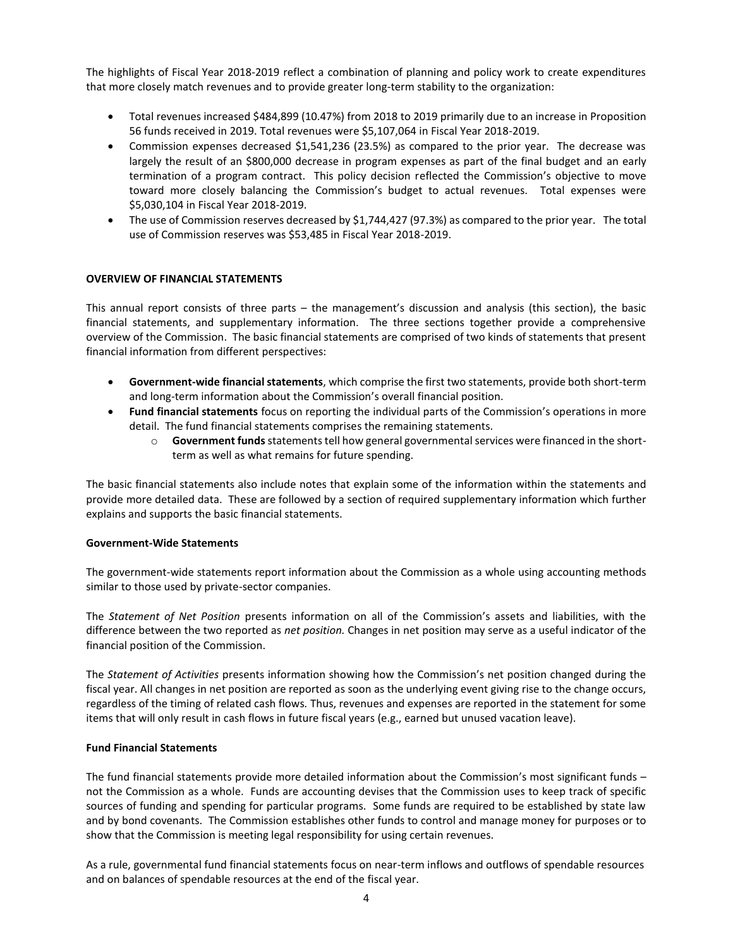The highlights of Fiscal Year 2018-2019 reflect a combination of planning and policy work to create expenditures that more closely match revenues and to provide greater long-term stability to the organization:

- Total revenues increased \$484,899 (10.47%) from 2018 to 2019 primarily due to an increase in Proposition 56 funds received in 2019. Total revenues were \$5,107,064 in Fiscal Year 2018-2019.
- Commission expenses decreased \$1,541,236 (23.5%) as compared to the prior year. The decrease was largely the result of an \$800,000 decrease in program expenses as part of the final budget and an early termination of a program contract. This policy decision reflected the Commission's objective to move toward more closely balancing the Commission's budget to actual revenues. Total expenses were \$5,030,104 in Fiscal Year 2018-2019.
- The use of Commission reserves decreased by \$1,744,427 (97.3%) as compared to the prior year. The total use of Commission reserves was \$53,485 in Fiscal Year 2018-2019.

#### **OVERVIEW OF FINANCIAL STATEMENTS**

This annual report consists of three parts – the management's discussion and analysis (this section), the basic financial statements, and supplementary information. The three sections together provide a comprehensive overview of the Commission. The basic financial statements are comprised of two kinds of statements that present financial information from different perspectives:

- **Government-wide financial statements**, which comprise the first two statements, provide both short-term and long-term information about the Commission's overall financial position.
- **Fund financial statements** focus on reporting the individual parts of the Commission's operations in more detail. The fund financial statements comprises the remaining statements.
	- o **Government funds** statements tell how general governmental services were financed in the shortterm as well as what remains for future spending.

The basic financial statements also include notes that explain some of the information within the statements and provide more detailed data. These are followed by a section of required supplementary information which further explains and supports the basic financial statements.

#### **Government-Wide Statements**

The government-wide statements report information about the Commission as a whole using accounting methods similar to those used by private-sector companies.

The *Statement of Net Position* presents information on all of the Commission's assets and liabilities, with the difference between the two reported as *net position.* Changes in net position may serve as a useful indicator of the financial position of the Commission.

The *Statement of Activities* presents information showing how the Commission's net position changed during the fiscal year. All changes in net position are reported as soon as the underlying event giving rise to the change occurs, regardless of the timing of related cash flows*.* Thus, revenues and expenses are reported in the statement for some items that will only result in cash flows in future fiscal years (e.g., earned but unused vacation leave).

#### **Fund Financial Statements**

The fund financial statements provide more detailed information about the Commission's most significant funds – not the Commission as a whole. Funds are accounting devises that the Commission uses to keep track of specific sources of funding and spending for particular programs. Some funds are required to be established by state law and by bond covenants. The Commission establishes other funds to control and manage money for purposes or to show that the Commission is meeting legal responsibility for using certain revenues.

As a rule, governmental fund financial statements focus on near-term inflows and outflows of spendable resources and on balances of spendable resources at the end of the fiscal year.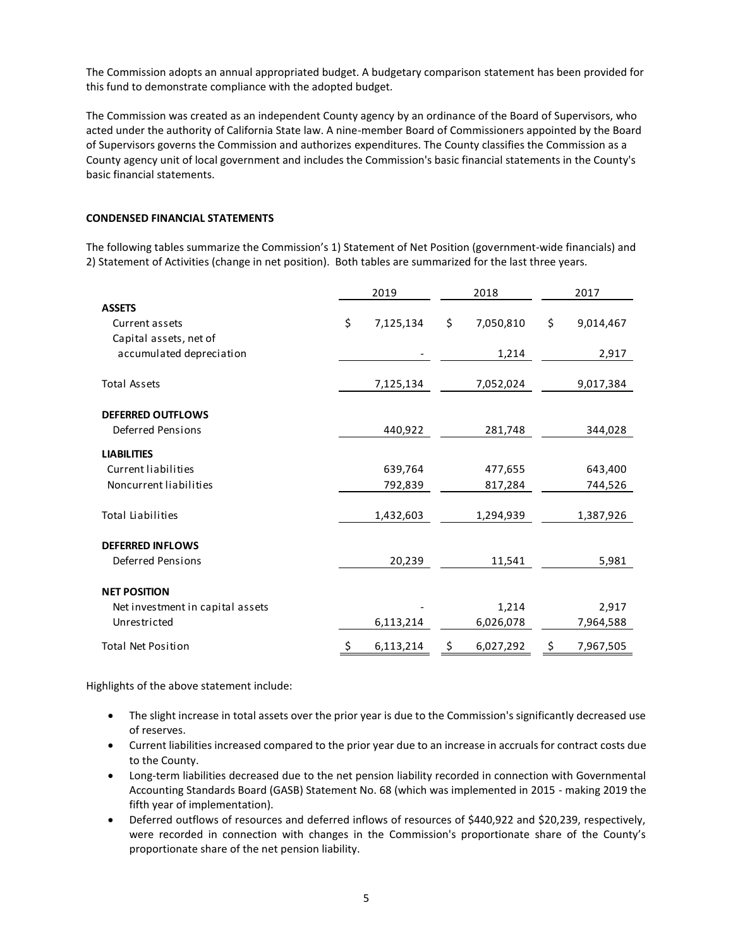The Commission adopts an annual appropriated budget. A budgetary comparison statement has been provided for this fund to demonstrate compliance with the adopted budget.

The Commission was created as an independent County agency by an ordinance of the Board of Supervisors, who acted under the authority of California State law. A nine-member Board of Commissioners appointed by the Board of Supervisors governs the Commission and authorizes expenditures. The County classifies the Commission as a County agency unit of local government and includes the Commission's basic financial statements in the County's basic financial statements.

#### **CONDENSED FINANCIAL STATEMENTS**

The following tables summarize the Commission's 1) Statement of Net Position (government-wide financials) and 2) Statement of Activities (change in net position). Both tables are summarized for the last three years.

|                                                           | 2019<br>2018    |    |           | 2017            |  |  |
|-----------------------------------------------------------|-----------------|----|-----------|-----------------|--|--|
| <b>ASSETS</b><br>Current assets<br>Capital assets, net of | \$<br>7,125,134 | \$ | 7,050,810 | \$<br>9,014,467 |  |  |
| accumulated depreciation                                  |                 |    | 1,214     | 2,917           |  |  |
| <b>Total Assets</b>                                       | 7,125,134       |    | 7,052,024 | 9,017,384       |  |  |
| <b>DEFERRED OUTFLOWS</b><br><b>Deferred Pensions</b>      | 440,922         |    | 281,748   | 344,028         |  |  |
| <b>LIABILITIES</b>                                        |                 |    |           |                 |  |  |
| Current liabilities                                       | 639,764         |    | 477,655   | 643,400         |  |  |
| Noncurrent liabilities                                    | 792,839         |    | 817,284   | 744,526         |  |  |
| <b>Total Liabilities</b>                                  | 1,432,603       |    | 1,294,939 | 1,387,926       |  |  |
| <b>DEFERRED INFLOWS</b>                                   |                 |    |           |                 |  |  |
| <b>Deferred Pensions</b>                                  | 20,239          |    | 11,541    | 5,981           |  |  |
| <b>NET POSITION</b>                                       |                 |    |           |                 |  |  |
| Net investment in capital assets                          |                 |    | 1,214     | 2,917           |  |  |
| Unrestricted                                              | 6,113,214       |    | 6,026,078 | 7,964,588       |  |  |
| <b>Total Net Position</b>                                 | \$<br>6,113,214 | \$ | 6,027,292 | \$<br>7,967,505 |  |  |

Highlights of the above statement include:

- The slight increase in total assets over the prior year is due to the Commission's significantly decreased use of reserves.
- Current liabilities increased compared to the prior year due to an increase in accruals for contract costs due to the County.
- Long-term liabilities decreased due to the net pension liability recorded in connection with Governmental Accounting Standards Board (GASB) Statement No. 68 (which was implemented in 2015 - making 2019 the fifth year of implementation).
- Deferred outflows of resources and deferred inflows of resources of \$440,922 and \$20,239, respectively, were recorded in connection with changes in the Commission's proportionate share of the County's proportionate share of the net pension liability.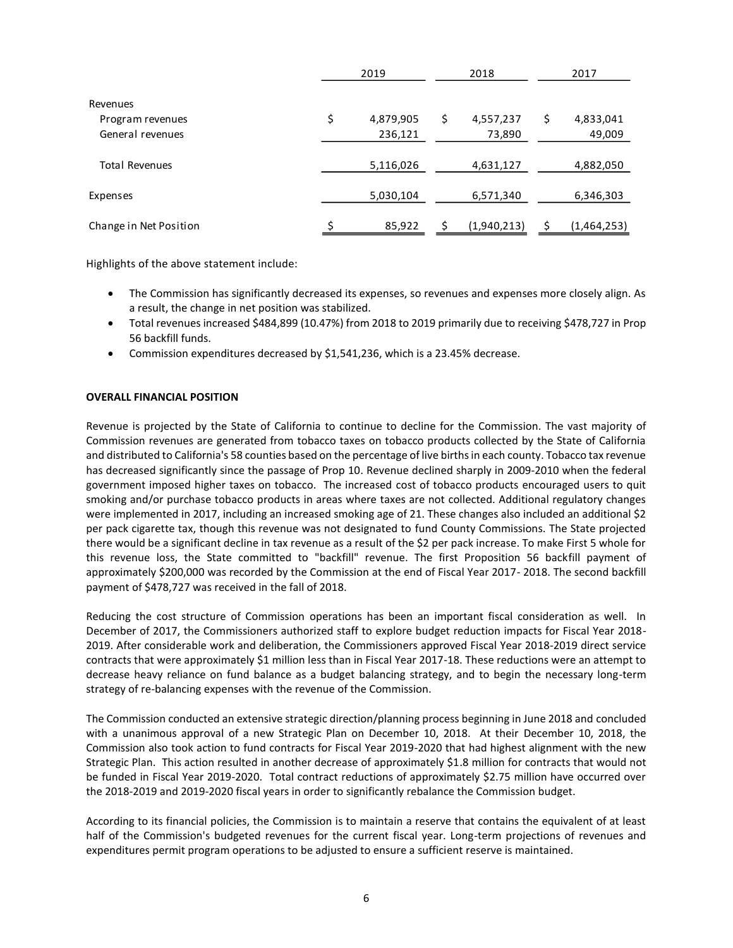|                        | 2019<br>2018 |           |   | 2017        |             |
|------------------------|--------------|-----------|---|-------------|-------------|
| Revenues               |              |           |   |             |             |
| Program revenues       | \$           | 4,879,905 | Ş | 4,557,237   | 4,833,041   |
| General revenues       |              | 236,121   |   | 73,890      | 49,009      |
| <b>Total Revenues</b>  |              | 5,116,026 |   | 4,631,127   | 4,882,050   |
| Expenses               |              | 5,030,104 |   | 6,571,340   | 6,346,303   |
| Change in Net Position |              | 85,922    |   | (1,940,213) | (1,464,253) |

Highlights of the above statement include:

- The Commission has significantly decreased its expenses, so revenues and expenses more closely align. As a result, the change in net position was stabilized.
- Total revenues increased \$484,899 (10.47%) from 2018 to 2019 primarily due to receiving \$478,727 in Prop 56 backfill funds.
- Commission expenditures decreased by \$1,541,236, which is a 23.45% decrease.

#### **OVERALL FINANCIAL POSITION**

Revenue is projected by the State of California to continue to decline for the Commission. The vast majority of Commission revenues are generated from tobacco taxes on tobacco products collected by the State of California and distributed to California's 58 counties based on the percentage of live births in each county. Tobacco tax revenue has decreased significantly since the passage of Prop 10. Revenue declined sharply in 2009-2010 when the federal government imposed higher taxes on tobacco. The increased cost of tobacco products encouraged users to quit smoking and/or purchase tobacco products in areas where taxes are not collected. Additional regulatory changes were implemented in 2017, including an increased smoking age of 21. These changes also included an additional \$2 per pack cigarette tax, though this revenue was not designated to fund County Commissions. The State projected there would be a significant decline in tax revenue as a result of the \$2 per pack increase. To make First 5 whole for this revenue loss, the State committed to "backfill" revenue. The first Proposition 56 backfill payment of approximately \$200,000 was recorded by the Commission at the end of Fiscal Year 2017- 2018. The second backfill payment of \$478,727 was received in the fall of 2018.

Reducing the cost structure of Commission operations has been an important fiscal consideration as well. In December of 2017, the Commissioners authorized staff to explore budget reduction impacts for Fiscal Year 2018- 2019. After considerable work and deliberation, the Commissioners approved Fiscal Year 2018-2019 direct service contracts that were approximately \$1 million less than in Fiscal Year 2017-18. These reductions were an attempt to decrease heavy reliance on fund balance as a budget balancing strategy, and to begin the necessary long-term strategy of re-balancing expenses with the revenue of the Commission.

The Commission conducted an extensive strategic direction/planning process beginning in June 2018 and concluded with a unanimous approval of a new Strategic Plan on December 10, 2018. At their December 10, 2018, the Commission also took action to fund contracts for Fiscal Year 2019-2020 that had highest alignment with the new Strategic Plan. This action resulted in another decrease of approximately \$1.8 million for contracts that would not be funded in Fiscal Year 2019-2020. Total contract reductions of approximately \$2.75 million have occurred over the 2018-2019 and 2019-2020 fiscal years in order to significantly rebalance the Commission budget.

According to its financial policies, the Commission is to maintain a reserve that contains the equivalent of at least half of the Commission's budgeted revenues for the current fiscal year. Long-term projections of revenues and expenditures permit program operations to be adjusted to ensure a sufficient reserve is maintained.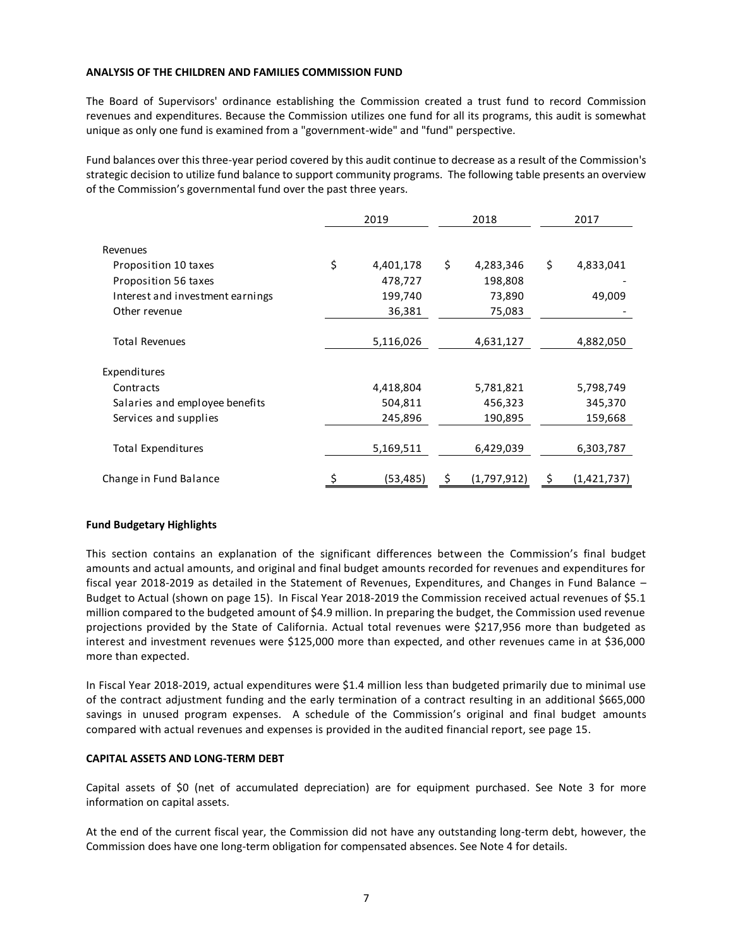#### **ANALYSIS OF THE CHILDREN AND FAMILIES COMMISSION FUND**

The Board of Supervisors' ordinance establishing the Commission created a trust fund to record Commission revenues and expenditures. Because the Commission utilizes one fund for all its programs, this audit is somewhat unique as only one fund is examined from a "government-wide" and "fund" perspective.

Fund balances over this three-year period covered by this audit continue to decrease as a result of the Commission's strategic decision to utilize fund balance to support community programs. The following table presents an overview of the Commission's governmental fund over the past three years.

|                                  | 2019 |           | 2018            | 2017            |
|----------------------------------|------|-----------|-----------------|-----------------|
|                                  |      |           |                 |                 |
| Revenues                         |      |           |                 |                 |
| Proposition 10 taxes             | \$   | 4,401,178 | \$<br>4,283,346 | \$<br>4,833,041 |
| Proposition 56 taxes             |      | 478,727   | 198,808         |                 |
| Interest and investment earnings |      | 199,740   | 73,890          | 49,009          |
| Other revenue                    |      | 36,381    | 75,083          |                 |
|                                  |      |           |                 |                 |
| <b>Total Revenues</b>            |      | 5,116,026 | 4,631,127       | 4,882,050       |
| Expenditures                     |      |           |                 |                 |
| Contracts                        |      | 4,418,804 | 5,781,821       | 5,798,749       |
| Salaries and employee benefits   |      | 504,811   | 456,323         | 345,370         |
| Services and supplies            |      | 245,896   | 190,895         | 159,668         |
| <b>Total Expenditures</b>        |      | 5,169,511 | 6,429,039       | 6,303,787       |
| Change in Fund Balance           |      | (53, 485) | (1,797,912)     | (1,421,737)     |

## **Fund Budgetary Highlights**

This section contains an explanation of the significant differences between the Commission's final budget amounts and actual amounts, and original and final budget amounts recorded for revenues and expenditures for fiscal year 2018-2019 as detailed in the Statement of Revenues, Expenditures, and Changes in Fund Balance – Budget to Actual (shown on page 15). In Fiscal Year 2018-2019 the Commission received actual revenues of \$5.1 million compared to the budgeted amount of \$4.9 million. In preparing the budget, the Commission used revenue projections provided by the State of California. Actual total revenues were \$217,956 more than budgeted as interest and investment revenues were \$125,000 more than expected, and other revenues came in at \$36,000 more than expected.

In Fiscal Year 2018-2019, actual expenditures were \$1.4 million less than budgeted primarily due to minimal use of the contract adjustment funding and the early termination of a contract resulting in an additional \$665,000 savings in unused program expenses. A schedule of the Commission's original and final budget amounts compared with actual revenues and expenses is provided in the audited financial report, see page 15.

#### **CAPITAL ASSETS AND LONG-TERM DEBT**

Capital assets of \$0 (net of accumulated depreciation) are for equipment purchased. See Note 3 for more information on capital assets.

At the end of the current fiscal year, the Commission did not have any outstanding long-term debt, however, the Commission does have one long-term obligation for compensated absences. See Note 4 for details.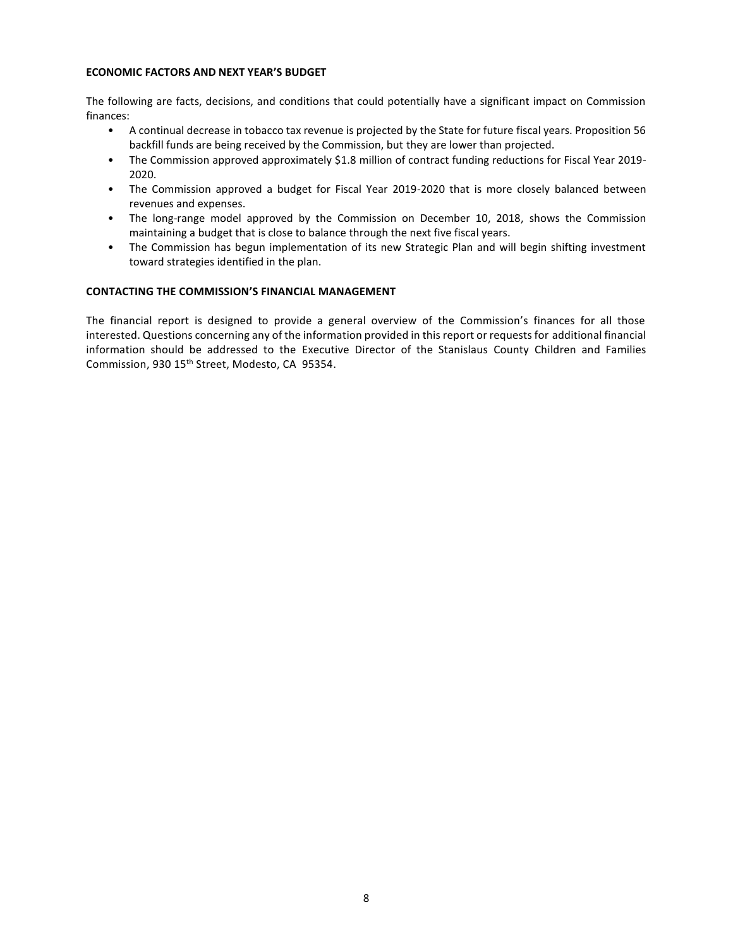### **ECONOMIC FACTORS AND NEXT YEAR'S BUDGET**

The following are facts, decisions, and conditions that could potentially have a significant impact on Commission finances:

- A continual decrease in tobacco tax revenue is projected by the State for future fiscal years. Proposition 56 backfill funds are being received by the Commission, but they are lower than projected.
- The Commission approved approximately \$1.8 million of contract funding reductions for Fiscal Year 2019- 2020.
- The Commission approved a budget for Fiscal Year 2019-2020 that is more closely balanced between revenues and expenses.
- The long-range model approved by the Commission on December 10, 2018, shows the Commission maintaining a budget that is close to balance through the next five fiscal years.
- The Commission has begun implementation of its new Strategic Plan and will begin shifting investment toward strategies identified in the plan.

## **CONTACTING THE COMMISSION'S FINANCIAL MANAGEMENT**

The financial report is designed to provide a general overview of the Commission's finances for all those interested. Questions concerning any of the information provided in this report or requests for additional financial information should be addressed to the Executive Director of the Stanislaus County Children and Families Commission, 930 15<sup>th</sup> Street, Modesto, CA 95354.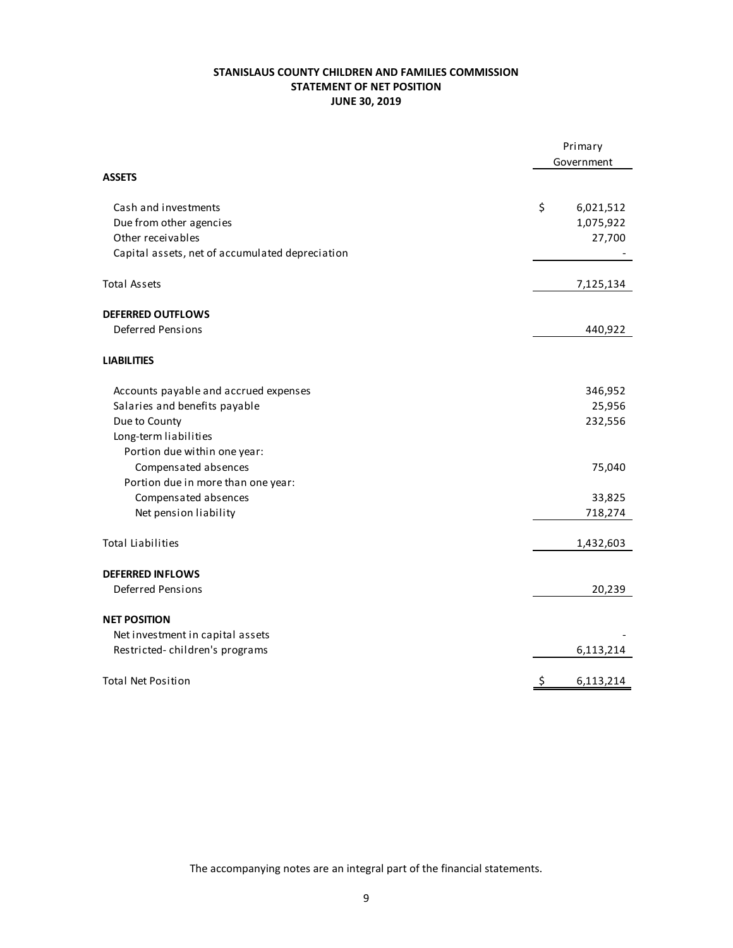# **STANISLAUS COUNTY CHILDREN AND FAMILIES COMMISSION STATEMENT OF NET POSITION JUNE 30, 2019**

|                                                 | Primary<br>Government |
|-------------------------------------------------|-----------------------|
| <b>ASSETS</b>                                   |                       |
| Cash and investments                            | \$<br>6,021,512       |
| Due from other agencies                         | 1,075,922             |
| Other receivables                               | 27,700                |
| Capital assets, net of accumulated depreciation |                       |
| <b>Total Assets</b>                             | 7,125,134             |
| <b>DEFERRED OUTFLOWS</b>                        |                       |
| <b>Deferred Pensions</b>                        | 440,922               |
| <b>LIABILITIES</b>                              |                       |
| Accounts payable and accrued expenses           | 346,952               |
| Salaries and benefits payable                   | 25,956                |
| Due to County                                   | 232,556               |
| Long-term liabilities                           |                       |
| Portion due within one year:                    |                       |
| Compensated absences                            | 75,040                |
| Portion due in more than one year:              |                       |
| Compensated absences                            | 33,825                |
| Net pension liability                           | 718,274               |
| <b>Total Liabilities</b>                        | 1,432,603             |
| <b>DEFERRED INFLOWS</b>                         |                       |
| <b>Deferred Pensions</b>                        | 20,239                |
| <b>NET POSITION</b>                             |                       |
| Net investment in capital assets                |                       |
| Restricted-children's programs                  | 6,113,214             |
| <b>Total Net Position</b>                       | \$<br>6,113,214       |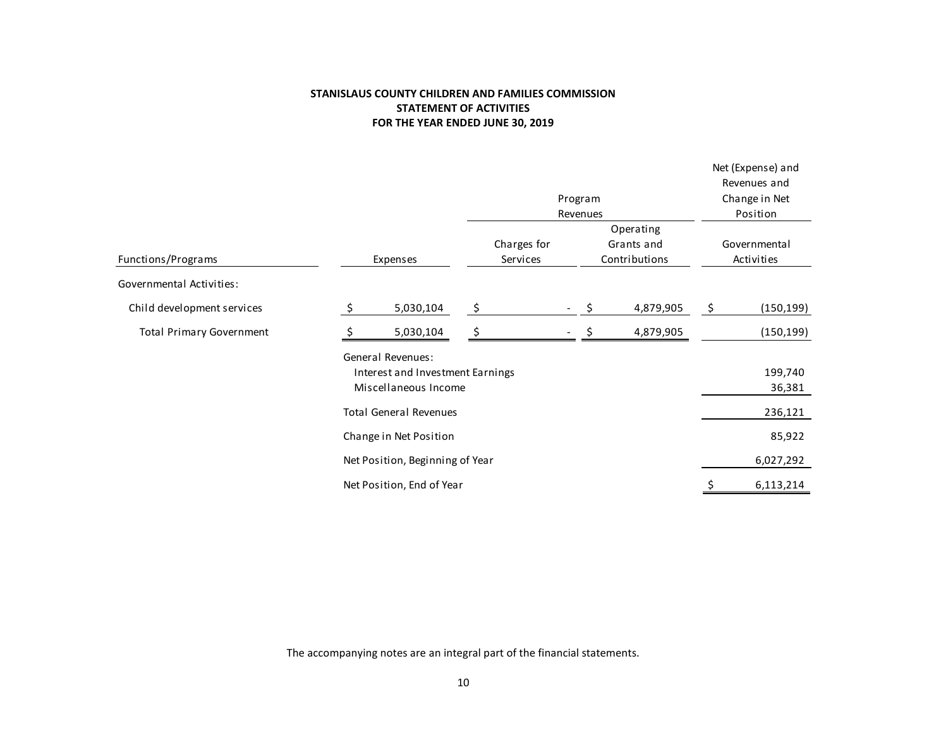# **STANISLAUS COUNTY CHILDREN AND FAMILIES COMMISSION STATEMENT OF ACTIVITIES FOR THE YEAR ENDED JUNE 30, 2019**

| Change in Net<br>Program<br>Position<br>Revenues<br>Operating<br>Charges for<br>Grants and<br>Governmental<br>Functions/Programs<br>Contributions<br>Activities<br>Services<br>Expenses<br>Governmental Activities:<br>\$<br>\$<br>\$<br>5,030,104<br>4,879,905<br>Child development services<br>Ś.<br><b>Total Primary Government</b><br>5,030,104<br>4,879,905<br><b>General Revenues:</b><br>Interest and Investment Earnings<br>Miscellaneous Income<br><b>Total General Revenues</b><br>Change in Net Position<br>Net Position, Beginning of Year |  |  |  |  | Net (Expense) and<br>Revenues and |            |  |
|--------------------------------------------------------------------------------------------------------------------------------------------------------------------------------------------------------------------------------------------------------------------------------------------------------------------------------------------------------------------------------------------------------------------------------------------------------------------------------------------------------------------------------------------------------|--|--|--|--|-----------------------------------|------------|--|
|                                                                                                                                                                                                                                                                                                                                                                                                                                                                                                                                                        |  |  |  |  |                                   |            |  |
|                                                                                                                                                                                                                                                                                                                                                                                                                                                                                                                                                        |  |  |  |  |                                   |            |  |
|                                                                                                                                                                                                                                                                                                                                                                                                                                                                                                                                                        |  |  |  |  |                                   |            |  |
|                                                                                                                                                                                                                                                                                                                                                                                                                                                                                                                                                        |  |  |  |  |                                   |            |  |
|                                                                                                                                                                                                                                                                                                                                                                                                                                                                                                                                                        |  |  |  |  |                                   |            |  |
|                                                                                                                                                                                                                                                                                                                                                                                                                                                                                                                                                        |  |  |  |  |                                   |            |  |
|                                                                                                                                                                                                                                                                                                                                                                                                                                                                                                                                                        |  |  |  |  |                                   | (150, 199) |  |
|                                                                                                                                                                                                                                                                                                                                                                                                                                                                                                                                                        |  |  |  |  |                                   | (150, 199) |  |
|                                                                                                                                                                                                                                                                                                                                                                                                                                                                                                                                                        |  |  |  |  |                                   |            |  |
|                                                                                                                                                                                                                                                                                                                                                                                                                                                                                                                                                        |  |  |  |  |                                   | 199,740    |  |
|                                                                                                                                                                                                                                                                                                                                                                                                                                                                                                                                                        |  |  |  |  |                                   | 36,381     |  |
|                                                                                                                                                                                                                                                                                                                                                                                                                                                                                                                                                        |  |  |  |  |                                   | 236,121    |  |
|                                                                                                                                                                                                                                                                                                                                                                                                                                                                                                                                                        |  |  |  |  |                                   | 85,922     |  |
|                                                                                                                                                                                                                                                                                                                                                                                                                                                                                                                                                        |  |  |  |  |                                   | 6,027,292  |  |
| Net Position, End of Year                                                                                                                                                                                                                                                                                                                                                                                                                                                                                                                              |  |  |  |  |                                   | 6,113,214  |  |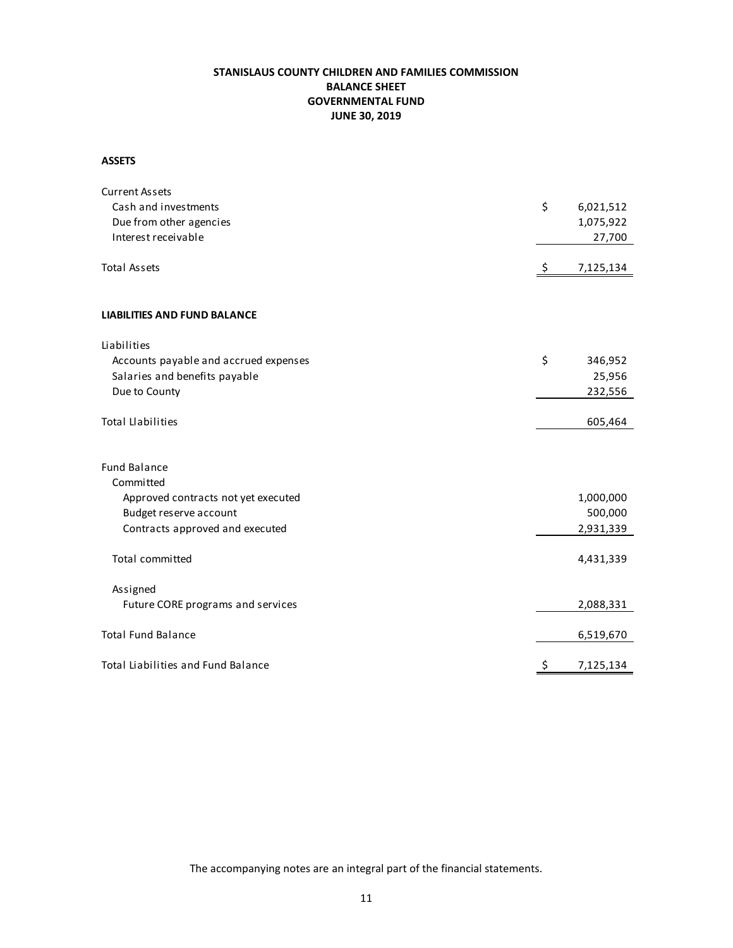# **STANISLAUS COUNTY CHILDREN AND FAMILIES COMMISSION BALANCE SHEET GOVERNMENTAL FUND JUNE 30, 2019**

#### **ASSETS**

| <b>Current Assets</b>                 |                 |
|---------------------------------------|-----------------|
| Cash and investments                  | \$<br>6,021,512 |
| Due from other agencies               | 1,075,922       |
| Interest receivable                   | 27,700          |
| <b>Total Assets</b>                   |                 |
|                                       | \$<br>7,125,134 |
| <b>LIABILITIES AND FUND BALANCE</b>   |                 |
| Liabilities                           |                 |
| Accounts payable and accrued expenses | \$<br>346,952   |
| Salaries and benefits payable         | 25,956          |
| Due to County                         | 232,556         |
| <b>Total Llabilities</b>              | 605,464         |
| <b>Fund Balance</b>                   |                 |
| Committed                             |                 |
| Approved contracts not yet executed   | 1,000,000       |
| Budget reserve account                | 500,000         |
| Contracts approved and executed       | 2,931,339       |
| <b>Total committed</b>                | 4,431,339       |
| Assigned                              |                 |
| Future CORE programs and services     | 2,088,331       |
| <b>Total Fund Balance</b>             | 6,519,670       |
| Total Liabilities and Fund Balance    | \$<br>7,125,134 |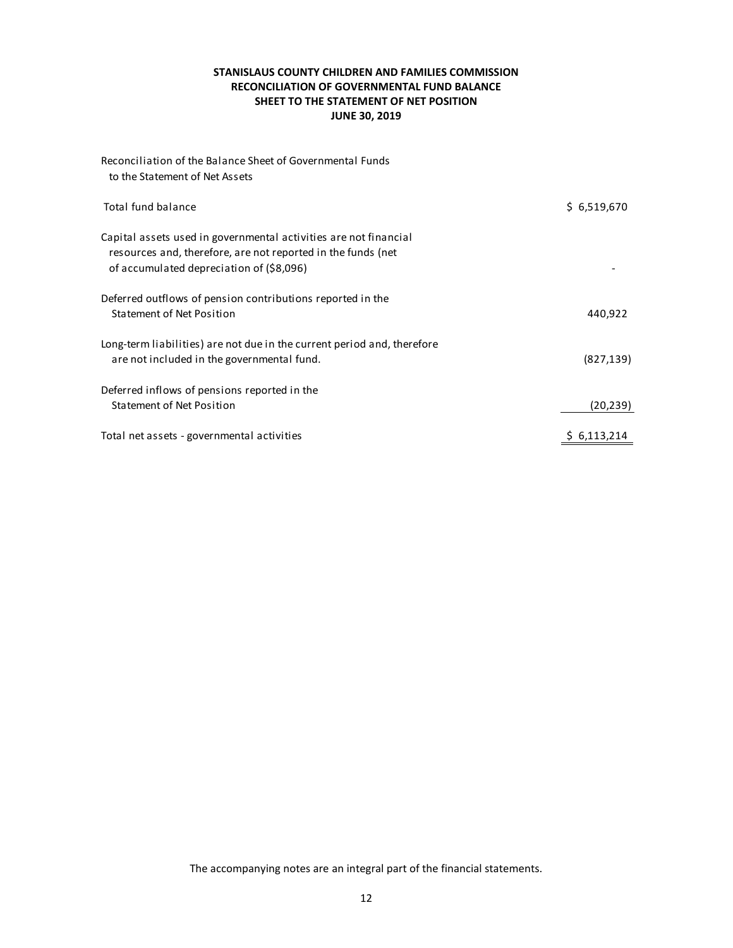# **STANISLAUS COUNTY CHILDREN AND FAMILIES COMMISSION RECONCILIATION OF GOVERNMENTAL FUND BALANCE SHEET TO THE STATEMENT OF NET POSITION JUNE 30, 2019**

| Reconciliation of the Balance Sheet of Governmental Funds<br>to the Statement of Net Assets                                                                                  |             |
|------------------------------------------------------------------------------------------------------------------------------------------------------------------------------|-------------|
| Total fund balance                                                                                                                                                           | \$6,519,670 |
| Capital assets used in governmental activities are not financial<br>resources and, therefore, are not reported in the funds (net<br>of accumulated depreciation of (\$8,096) |             |
| Deferred outflows of pension contributions reported in the<br>Statement of Net Position                                                                                      | 440,922     |
| Long-term liabilities) are not due in the current period and, therefore<br>are not included in the governmental fund.                                                        | (827, 139)  |
| Deferred inflows of pensions reported in the<br><b>Statement of Net Position</b>                                                                                             | (20, 239)   |
| Total net assets - governmental activities                                                                                                                                   | 6,113,214   |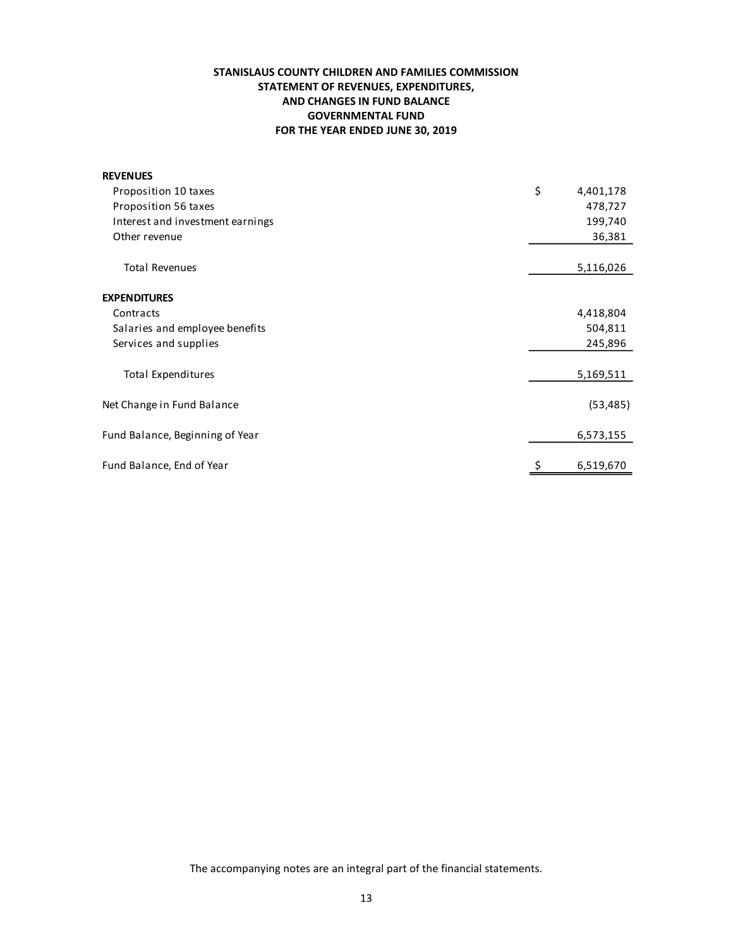# **STANISLAUS COUNTY CHILDREN AND FAMILIES COMMISSION STATEMENT OF REVENUES, EXPENDITURES, AND CHANGES IN FUND BALANCE GOVERNMENTAL FUND FOR THE YEAR ENDED JUNE 30, 2019**

| <b>REVENUES</b>                  |                 |
|----------------------------------|-----------------|
| Proposition 10 taxes             | \$<br>4,401,178 |
| Proposition 56 taxes             | 478,727         |
| Interest and investment earnings | 199,740         |
| Other revenue                    | 36,381          |
| <b>Total Revenues</b>            | 5,116,026       |
| <b>EXPENDITURES</b>              |                 |
| Contracts                        | 4,418,804       |
| Salaries and employee benefits   | 504,811         |
| Services and supplies            | 245,896         |
| Total Expenditures               | 5,169,511       |
| Net Change in Fund Balance       | (53, 485)       |
| Fund Balance, Beginning of Year  | 6,573,155       |
| Fund Balance, End of Year        | 6,519,670       |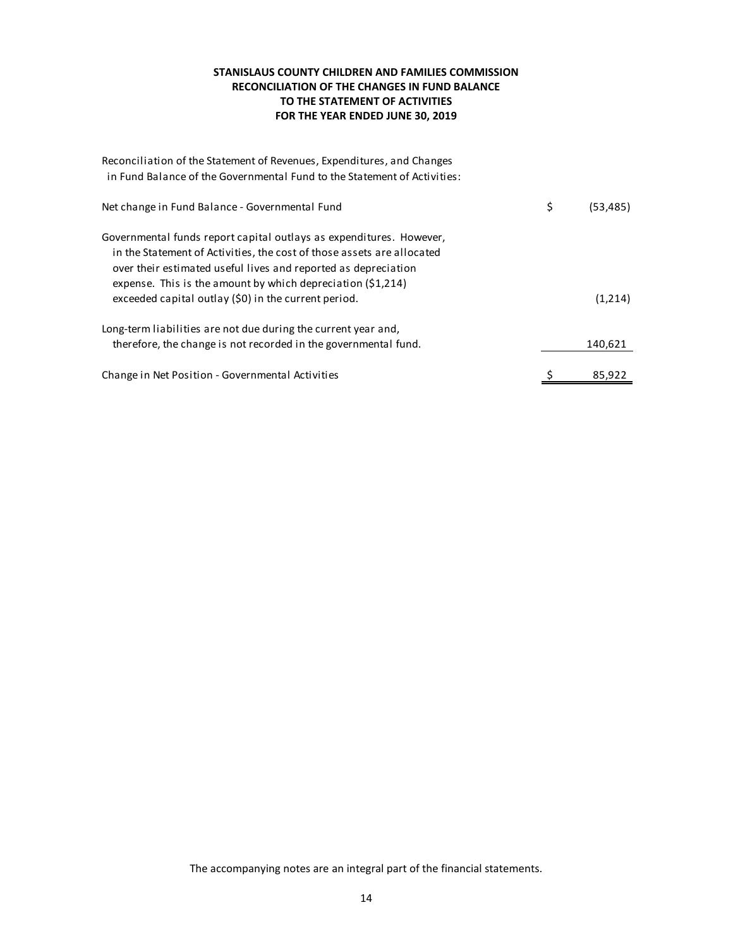# **STANISLAUS COUNTY CHILDREN AND FAMILIES COMMISSION RECONCILIATION OF THE CHANGES IN FUND BALANCE TO THE STATEMENT OF ACTIVITIES FOR THE YEAR ENDED JUNE 30, 2019**

| Reconciliation of the Statement of Revenues, Expenditures, and Changes<br>in Fund Balance of the Governmental Fund to the Statement of Activities:                                                                                                                              |                 |
|---------------------------------------------------------------------------------------------------------------------------------------------------------------------------------------------------------------------------------------------------------------------------------|-----------------|
| Net change in Fund Balance - Governmental Fund                                                                                                                                                                                                                                  | \$<br>(53, 485) |
| Governmental funds report capital outlays as expenditures. However,<br>in the Statement of Activities, the cost of those assets are allocated<br>over their estimated useful lives and reported as depreciation<br>expense. This is the amount by which depreciation $(51,214)$ |                 |
| exceeded capital outlay (\$0) in the current period.                                                                                                                                                                                                                            | (1,214)         |
| Long-term liabilities are not due during the current year and,                                                                                                                                                                                                                  |                 |
| therefore, the change is not recorded in the governmental fund.                                                                                                                                                                                                                 | 140,621         |
| Change in Net Position - Governmental Activities                                                                                                                                                                                                                                | 85,922          |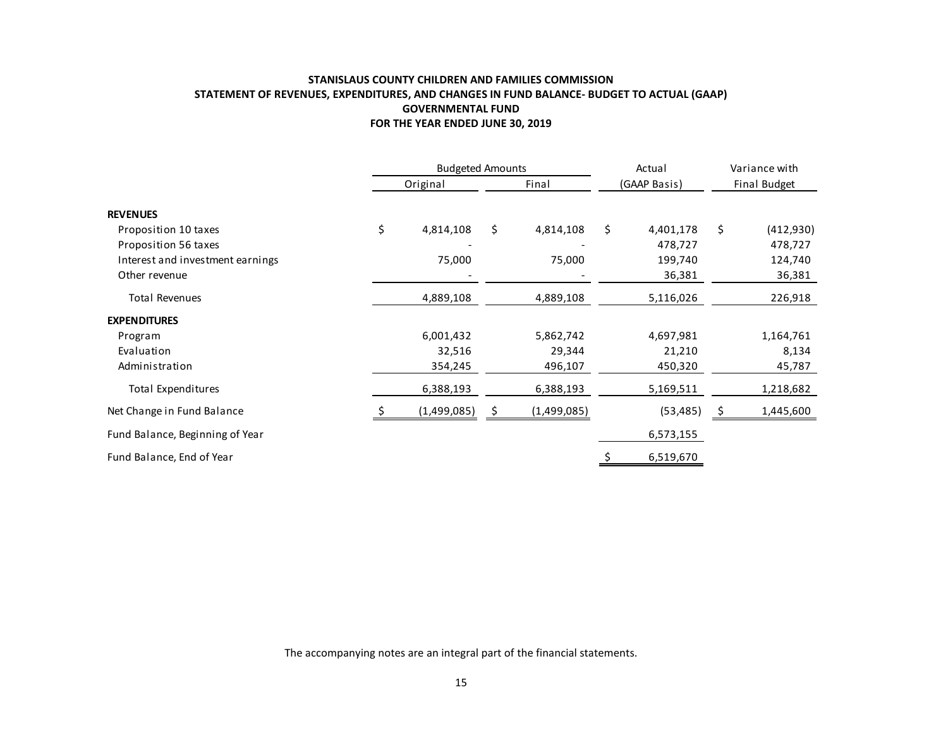# **STANISLAUS COUNTY CHILDREN AND FAMILIES COMMISSION STATEMENT OF REVENUES, EXPENDITURES, AND CHANGES IN FUND BALANCE- BUDGET TO ACTUAL (GAAP) GOVERNMENTAL FUND FOR THE YEAR ENDED JUNE 30, 2019**

|                                  | FOR THE YEAR ENDED JUNE 30, 2019 |                 |                 |    |               |
|----------------------------------|----------------------------------|-----------------|-----------------|----|---------------|
|                                  | <b>Budgeted Amounts</b>          |                 | Actual          |    | Variance with |
|                                  | Original                         | Final           | (GAAP Basis)    |    | Final Budget  |
| <b>REVENUES</b>                  |                                  |                 |                 |    |               |
| Proposition 10 taxes             | \$<br>4,814,108                  | \$<br>4,814,108 | \$<br>4,401,178 | \$ | (412, 930)    |
| Proposition 56 taxes             |                                  |                 | 478,727         |    | 478,727       |
| Interest and investment earnings | 75,000                           | 75,000          | 199,740         |    | 124,740       |
| Other revenue                    |                                  |                 | 36,381          |    | 36,381        |
| <b>Total Revenues</b>            | 4,889,108                        | 4,889,108       | 5,116,026       |    | 226,918       |
| <b>EXPENDITURES</b>              |                                  |                 |                 |    |               |
| Program                          | 6,001,432                        | 5,862,742       | 4,697,981       |    | 1,164,761     |
| Evaluation                       | 32,516                           | 29,344          | 21,210          |    | 8,134         |
| Administration                   | 354,245                          | 496,107         | 450,320         |    | 45,787        |
| <b>Total Expenditures</b>        | 6,388,193                        | 6,388,193       | 5,169,511       |    | 1,218,682     |
| Net Change in Fund Balance       | (1,499,085)                      | (1,499,085)     | (53, 485)       | Ş  | 1,445,600     |
| Fund Balance, Beginning of Year  |                                  |                 | 6,573,155       |    |               |
| Fund Balance, End of Year        |                                  |                 | 6,519,670       |    |               |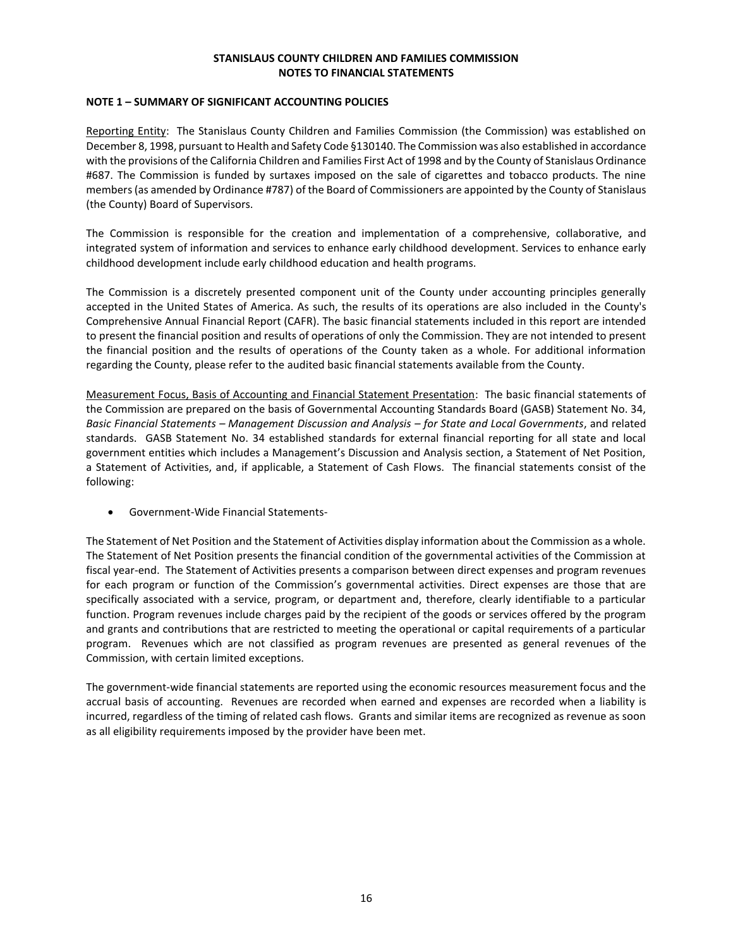## **NOTE 1 – SUMMARY OF SIGNIFICANT ACCOUNTING POLICIES**

Reporting Entity: The Stanislaus County Children and Families Commission (the Commission) was established on December 8, 1998, pursuant to Health and Safety Code §130140. The Commission was also established in accordance with the provisions of the California Children and Families First Act of 1998 and by the County of Stanislaus Ordinance #687. The Commission is funded by surtaxes imposed on the sale of cigarettes and tobacco products. The nine members (as amended by Ordinance #787) of the Board of Commissioners are appointed by the County of Stanislaus (the County) Board of Supervisors.

The Commission is responsible for the creation and implementation of a comprehensive, collaborative, and integrated system of information and services to enhance early childhood development. Services to enhance early childhood development include early childhood education and health programs.

The Commission is a discretely presented component unit of the County under accounting principles generally accepted in the United States of America. As such, the results of its operations are also included in the County's Comprehensive Annual Financial Report (CAFR). The basic financial statements included in this report are intended to present the financial position and results of operations of only the Commission. They are not intended to present the financial position and the results of operations of the County taken as a whole. For additional information regarding the County, please refer to the audited basic financial statements available from the County.

Measurement Focus, Basis of Accounting and Financial Statement Presentation: The basic financial statements of the Commission are prepared on the basis of Governmental Accounting Standards Board (GASB) Statement No. 34, *Basic Financial Statements – Management Discussion and Analysis – for State and Local Governments*, and related standards. GASB Statement No. 34 established standards for external financial reporting for all state and local government entities which includes a Management's Discussion and Analysis section, a Statement of Net Position, a Statement of Activities, and, if applicable, a Statement of Cash Flows. The financial statements consist of the following:

• Government-Wide Financial Statements-

The Statement of Net Position and the Statement of Activities display information about the Commission as a whole. The Statement of Net Position presents the financial condition of the governmental activities of the Commission at fiscal year-end. The Statement of Activities presents a comparison between direct expenses and program revenues for each program or function of the Commission's governmental activities. Direct expenses are those that are specifically associated with a service, program, or department and, therefore, clearly identifiable to a particular function. Program revenues include charges paid by the recipient of the goods or services offered by the program and grants and contributions that are restricted to meeting the operational or capital requirements of a particular program. Revenues which are not classified as program revenues are presented as general revenues of the Commission, with certain limited exceptions.

The government-wide financial statements are reported using the economic resources measurement focus and the accrual basis of accounting. Revenues are recorded when earned and expenses are recorded when a liability is incurred, regardless of the timing of related cash flows. Grants and similar items are recognized as revenue as soon as all eligibility requirements imposed by the provider have been met.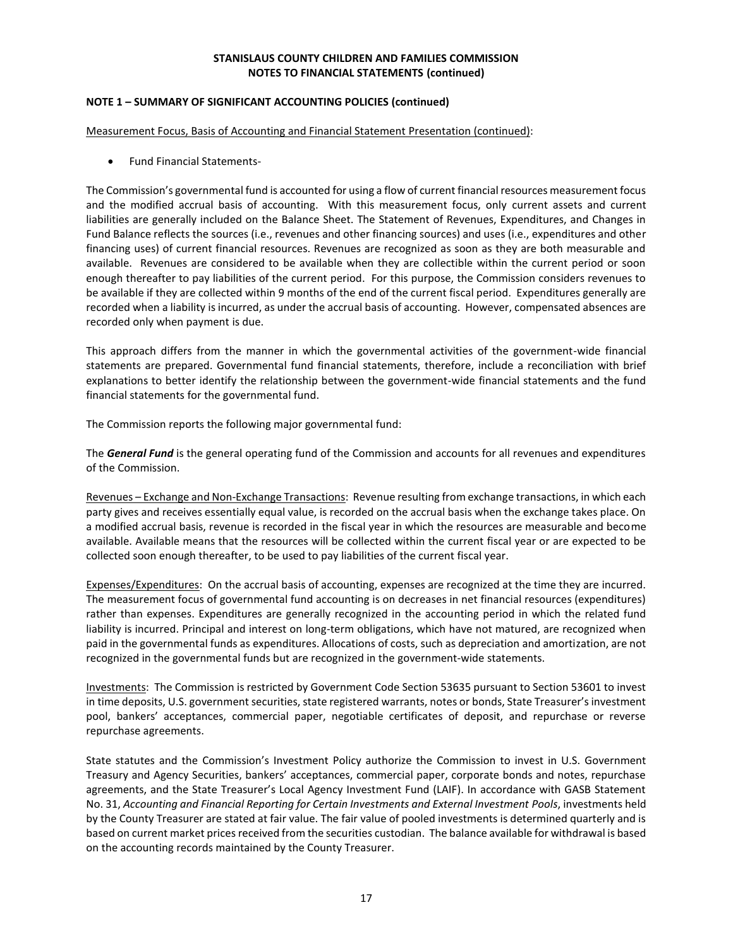## **NOTE 1 – SUMMARY OF SIGNIFICANT ACCOUNTING POLICIES (continued)**

Measurement Focus, Basis of Accounting and Financial Statement Presentation (continued):

• Fund Financial Statements-

The Commission's governmental fund is accounted for using a flow of current financial resources measurement focus and the modified accrual basis of accounting. With this measurement focus, only current assets and current liabilities are generally included on the Balance Sheet. The Statement of Revenues, Expenditures, and Changes in Fund Balance reflects the sources (i.e., revenues and other financing sources) and uses (i.e., expenditures and other financing uses) of current financial resources. Revenues are recognized as soon as they are both measurable and available. Revenues are considered to be available when they are collectible within the current period or soon enough thereafter to pay liabilities of the current period. For this purpose, the Commission considers revenues to be available if they are collected within 9 months of the end of the current fiscal period. Expenditures generally are recorded when a liability is incurred, as under the accrual basis of accounting. However, compensated absences are recorded only when payment is due.

This approach differs from the manner in which the governmental activities of the government-wide financial statements are prepared. Governmental fund financial statements, therefore, include a reconciliation with brief explanations to better identify the relationship between the government-wide financial statements and the fund financial statements for the governmental fund.

The Commission reports the following major governmental fund:

The *General Fund* is the general operating fund of the Commission and accounts for all revenues and expenditures of the Commission.

Revenues – Exchange and Non-Exchange Transactions: Revenue resulting from exchange transactions, in which each party gives and receives essentially equal value, is recorded on the accrual basis when the exchange takes place. On a modified accrual basis, revenue is recorded in the fiscal year in which the resources are measurable and become available. Available means that the resources will be collected within the current fiscal year or are expected to be collected soon enough thereafter, to be used to pay liabilities of the current fiscal year.

Expenses/Expenditures: On the accrual basis of accounting, expenses are recognized at the time they are incurred. The measurement focus of governmental fund accounting is on decreases in net financial resources (expenditures) rather than expenses. Expenditures are generally recognized in the accounting period in which the related fund liability is incurred. Principal and interest on long-term obligations, which have not matured, are recognized when paid in the governmental funds as expenditures. Allocations of costs, such as depreciation and amortization, are not recognized in the governmental funds but are recognized in the government-wide statements.

Investments: The Commission is restricted by Government Code Section 53635 pursuant to Section 53601 to invest in time deposits, U.S. government securities, state registered warrants, notes or bonds, State Treasurer's investment pool, bankers' acceptances, commercial paper, negotiable certificates of deposit, and repurchase or reverse repurchase agreements.

State statutes and the Commission's Investment Policy authorize the Commission to invest in U.S. Government Treasury and Agency Securities, bankers' acceptances, commercial paper, corporate bonds and notes, repurchase agreements, and the State Treasurer's Local Agency Investment Fund (LAIF). In accordance with GASB Statement No. 31, *Accounting and Financial Reporting for Certain Investments and External Investment Pools*, investments held by the County Treasurer are stated at fair value. The fair value of pooled investments is determined quarterly and is based on current market prices received from the securities custodian. The balance available for withdrawal is based on the accounting records maintained by the County Treasurer.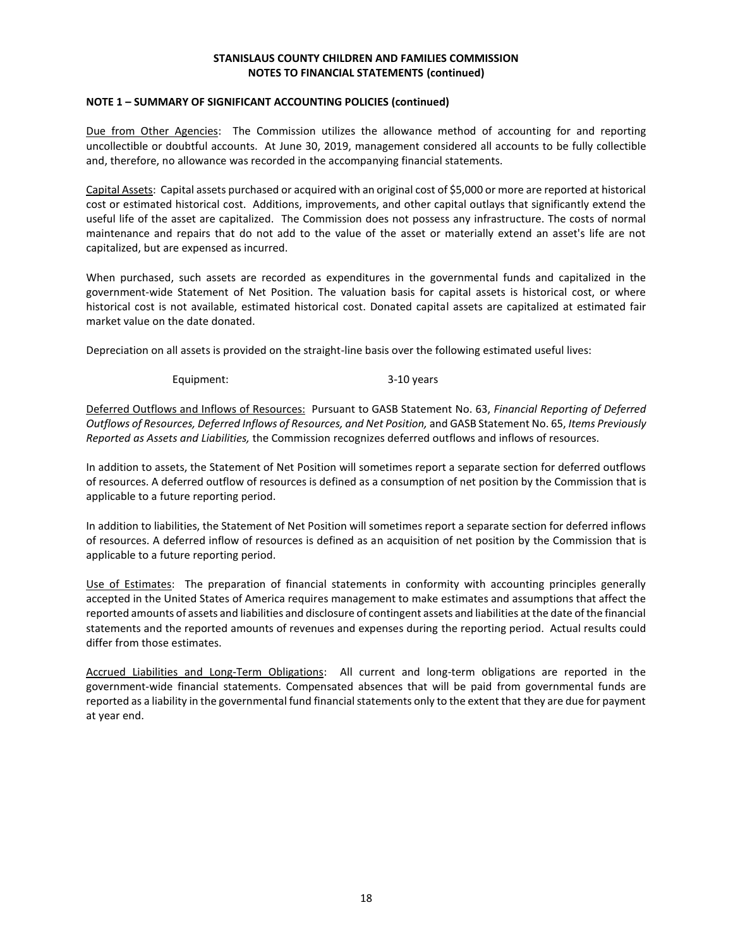#### **NOTE 1 – SUMMARY OF SIGNIFICANT ACCOUNTING POLICIES (continued)**

Due from Other Agencies: The Commission utilizes the allowance method of accounting for and reporting uncollectible or doubtful accounts. At June 30, 2019, management considered all accounts to be fully collectible and, therefore, no allowance was recorded in the accompanying financial statements.

Capital Assets: Capital assets purchased or acquired with an original cost of \$5,000 or more are reported at historical cost or estimated historical cost. Additions, improvements, and other capital outlays that significantly extend the useful life of the asset are capitalized. The Commission does not possess any infrastructure. The costs of normal maintenance and repairs that do not add to the value of the asset or materially extend an asset's life are not capitalized, but are expensed as incurred.

When purchased, such assets are recorded as expenditures in the governmental funds and capitalized in the government-wide Statement of Net Position. The valuation basis for capital assets is historical cost, or where historical cost is not available, estimated historical cost. Donated capital assets are capitalized at estimated fair market value on the date donated.

Depreciation on all assets is provided on the straight-line basis over the following estimated useful lives:

Equipment: 3-10 years

Deferred Outflows and Inflows of Resources: Pursuant to GASB Statement No. 63, *Financial Reporting of Deferred Outflows of Resources, Deferred Inflows of Resources, and Net Position,* and GASB Statement No. 65, *Items Previously Reported as Assets and Liabilities,* the Commission recognizes deferred outflows and inflows of resources.

In addition to assets, the Statement of Net Position will sometimes report a separate section for deferred outflows of resources. A deferred outflow of resources is defined as a consumption of net position by the Commission that is applicable to a future reporting period.

In addition to liabilities, the Statement of Net Position will sometimes report a separate section for deferred inflows of resources. A deferred inflow of resources is defined as an acquisition of net position by the Commission that is applicable to a future reporting period.

Use of Estimates: The preparation of financial statements in conformity with accounting principles generally accepted in the United States of America requires management to make estimates and assumptions that affect the reported amounts of assets and liabilities and disclosure of contingent assets and liabilities at the date of the financial statements and the reported amounts of revenues and expenses during the reporting period. Actual results could differ from those estimates.

Accrued Liabilities and Long-Term Obligations: All current and long-term obligations are reported in the government-wide financial statements. Compensated absences that will be paid from governmental funds are reported as a liability in the governmental fund financial statements only to the extent that they are due for payment at year end.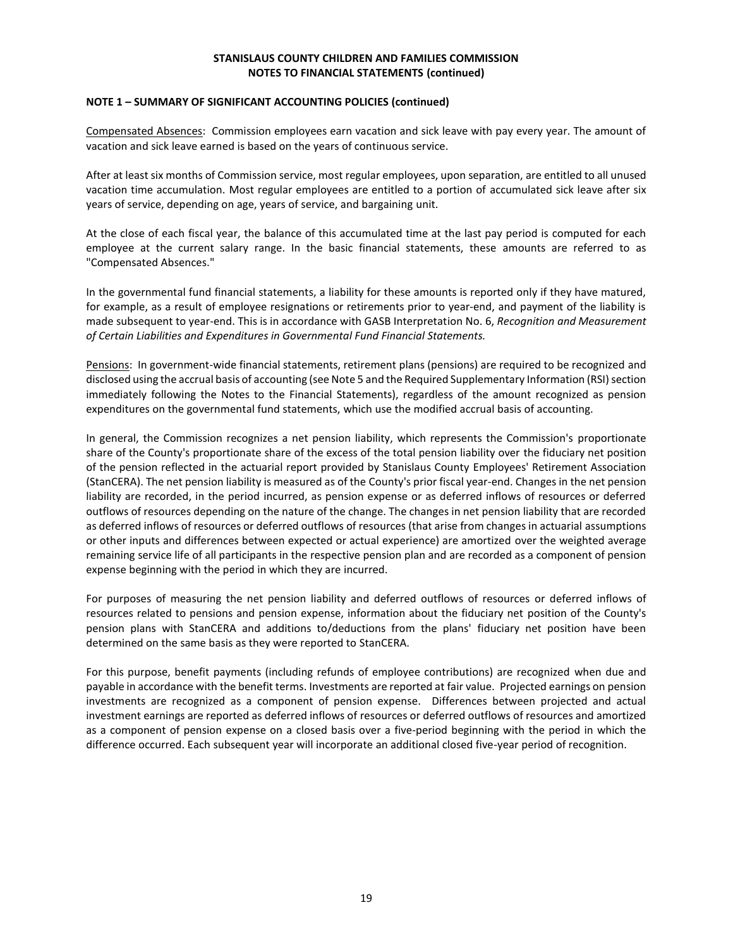### **NOTE 1 – SUMMARY OF SIGNIFICANT ACCOUNTING POLICIES (continued)**

Compensated Absences: Commission employees earn vacation and sick leave with pay every year. The amount of vacation and sick leave earned is based on the years of continuous service.

After at least six months of Commission service, most regular employees, upon separation, are entitled to all unused vacation time accumulation. Most regular employees are entitled to a portion of accumulated sick leave after six years of service, depending on age, years of service, and bargaining unit.

At the close of each fiscal year, the balance of this accumulated time at the last pay period is computed for each employee at the current salary range. In the basic financial statements, these amounts are referred to as "Compensated Absences."

In the governmental fund financial statements, a liability for these amounts is reported only if they have matured, for example, as a result of employee resignations or retirements prior to year-end, and payment of the liability is made subsequent to year‐end. This is in accordance with GASB Interpretation No. 6, *Recognition and Measurement of Certain Liabilities and Expenditures in Governmental Fund Financial Statements.*

Pensions: In government-wide financial statements, retirement plans (pensions) are required to be recognized and disclosed using the accrual basis of accounting (see Note 5 and the Required Supplementary Information (RSI) section immediately following the Notes to the Financial Statements), regardless of the amount recognized as pension expenditures on the governmental fund statements, which use the modified accrual basis of accounting.

In general, the Commission recognizes a net pension liability, which represents the Commission's proportionate share of the County's proportionate share of the excess of the total pension liability over the fiduciary net position of the pension reflected in the actuarial report provided by Stanislaus County Employees' Retirement Association (StanCERA). The net pension liability is measured as of the County's prior fiscal year-end. Changes in the net pension liability are recorded, in the period incurred, as pension expense or as deferred inflows of resources or deferred outflows of resources depending on the nature of the change. The changes in net pension liability that are recorded as deferred inflows of resources or deferred outflows of resources (that arise from changes in actuarial assumptions or other inputs and differences between expected or actual experience) are amortized over the weighted average remaining service life of all participants in the respective pension plan and are recorded as a component of pension expense beginning with the period in which they are incurred.

For purposes of measuring the net pension liability and deferred outflows of resources or deferred inflows of resources related to pensions and pension expense, information about the fiduciary net position of the County's pension plans with StanCERA and additions to/deductions from the plans' fiduciary net position have been determined on the same basis as they were reported to StanCERA.

For this purpose, benefit payments (including refunds of employee contributions) are recognized when due and payable in accordance with the benefit terms. Investments are reported at fair value. Projected earnings on pension investments are recognized as a component of pension expense. Differences between projected and actual investment earnings are reported as deferred inflows of resources or deferred outflows of resources and amortized as a component of pension expense on a closed basis over a five-period beginning with the period in which the difference occurred. Each subsequent year will incorporate an additional closed five-year period of recognition.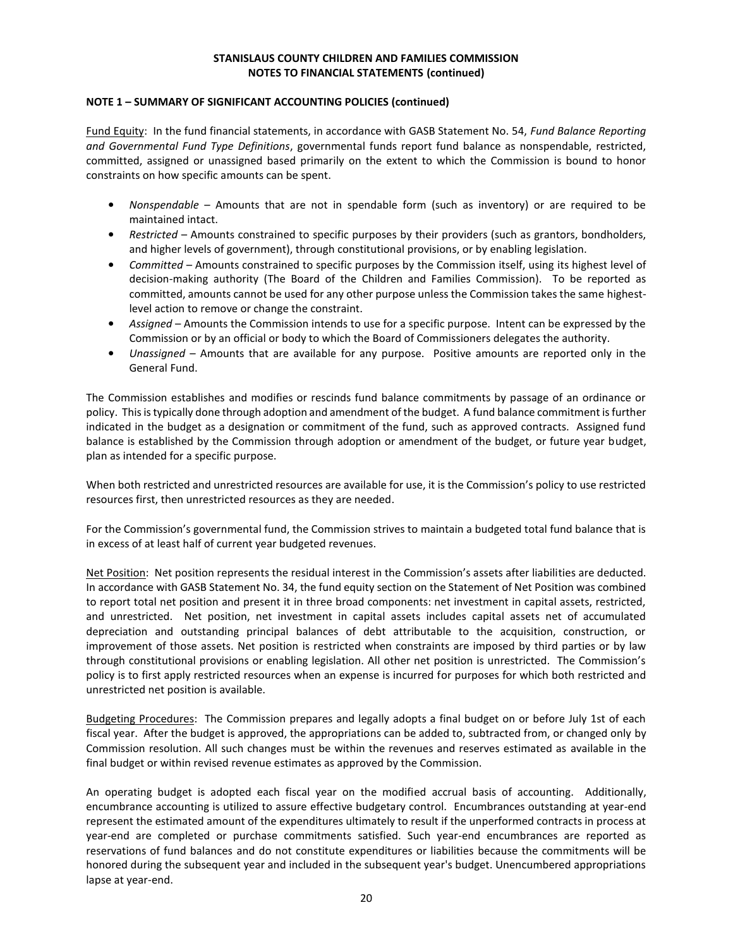## **NOTE 1 – SUMMARY OF SIGNIFICANT ACCOUNTING POLICIES (continued)**

Fund Equity: In the fund financial statements, in accordance with GASB Statement No. 54, *Fund Balance Reporting and Governmental Fund Type Definitions*, governmental funds report fund balance as nonspendable, restricted, committed, assigned or unassigned based primarily on the extent to which the Commission is bound to honor constraints on how specific amounts can be spent.

- *Nonspendable* Amounts that are not in spendable form (such as inventory) or are required to be maintained intact.
- *Restricted* Amounts constrained to specific purposes by their providers (such as grantors, bondholders, and higher levels of government), through constitutional provisions, or by enabling legislation.
- *Committed*  Amounts constrained to specific purposes by the Commission itself, using its highest level of decision-making authority (The Board of the Children and Families Commission). To be reported as committed, amounts cannot be used for any other purpose unless the Commission takes the same highestlevel action to remove or change the constraint.
- *Assigned* Amounts the Commission intends to use for a specific purpose. Intent can be expressed by the Commission or by an official or body to which the Board of Commissioners delegates the authority.
- *Unassigned* Amounts that are available for any purpose. Positive amounts are reported only in the General Fund.

The Commission establishes and modifies or rescinds fund balance commitments by passage of an ordinance or policy. This is typically done through adoption and amendment of the budget. A fund balance commitment is further indicated in the budget as a designation or commitment of the fund, such as approved contracts. Assigned fund balance is established by the Commission through adoption or amendment of the budget, or future year budget, plan as intended for a specific purpose.

When both restricted and unrestricted resources are available for use, it is the Commission's policy to use restricted resources first, then unrestricted resources as they are needed.

For the Commission's governmental fund, the Commission strives to maintain a budgeted total fund balance that is in excess of at least half of current year budgeted revenues.

Net Position: Net position represents the residual interest in the Commission's assets after liabilities are deducted. In accordance with GASB Statement No. 34, the fund equity section on the Statement of Net Position was combined to report total net position and present it in three broad components: net investment in capital assets, restricted, and unrestricted. Net position, net investment in capital assets includes capital assets net of accumulated depreciation and outstanding principal balances of debt attributable to the acquisition, construction, or improvement of those assets. Net position is restricted when constraints are imposed by third parties or by law through constitutional provisions or enabling legislation. All other net position is unrestricted. The Commission's policy is to first apply restricted resources when an expense is incurred for purposes for which both restricted and unrestricted net position is available.

Budgeting Procedures: The Commission prepares and legally adopts a final budget on or before July 1st of each fiscal year. After the budget is approved, the appropriations can be added to, subtracted from, or changed only by Commission resolution. All such changes must be within the revenues and reserves estimated as available in the final budget or within revised revenue estimates as approved by the Commission.

An operating budget is adopted each fiscal year on the modified accrual basis of accounting. Additionally, encumbrance accounting is utilized to assure effective budgetary control. Encumbrances outstanding at year-end represent the estimated amount of the expenditures ultimately to result if the unperformed contracts in process at year-end are completed or purchase commitments satisfied. Such year-end encumbrances are reported as reservations of fund balances and do not constitute expenditures or liabilities because the commitments will be honored during the subsequent year and included in the subsequent year's budget. Unencumbered appropriations lapse at year-end.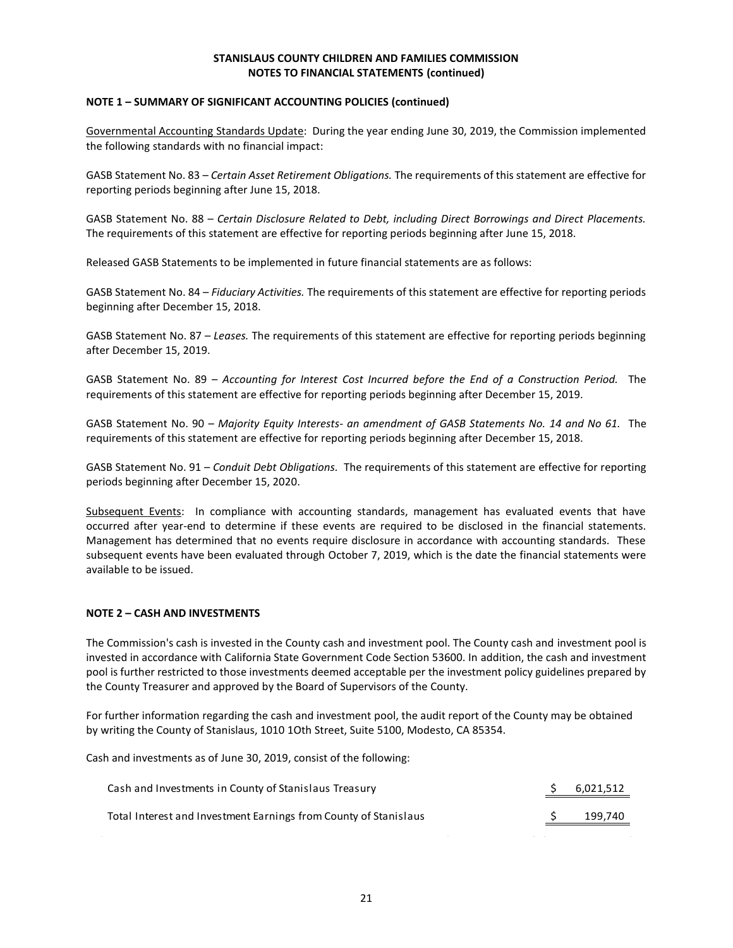### **NOTE 1 – SUMMARY OF SIGNIFICANT ACCOUNTING POLICIES (continued)**

Governmental Accounting Standards Update: During the year ending June 30, 2019, the Commission implemented the following standards with no financial impact:

GASB Statement No. 83 – *Certain Asset Retirement Obligations.* The requirements of this statement are effective for reporting periods beginning after June 15, 2018.

GASB Statement No. 88 – *Certain Disclosure Related to Debt, including Direct Borrowings and Direct Placements.*  The requirements of this statement are effective for reporting periods beginning after June 15, 2018.

Released GASB Statements to be implemented in future financial statements are as follows:

GASB Statement No. 84 – *Fiduciary Activities.* The requirements of this statement are effective for reporting periods beginning after December 15, 2018.

GASB Statement No. 87 – *Leases.* The requirements of this statement are effective for reporting periods beginning after December 15, 2019.

GASB Statement No. 89 – *Accounting for Interest Cost Incurred before the End of a Construction Period.* The requirements of this statement are effective for reporting periods beginning after December 15, 2019.

GASB Statement No. 90 – *Majority Equity Interests- an amendment of GASB Statements No. 14 and No 61.* The requirements of this statement are effective for reporting periods beginning after December 15, 2018.

GASB Statement No. 91 – *Conduit Debt Obligations.* The requirements of this statement are effective for reporting periods beginning after December 15, 2020.

Subsequent Events: In compliance with accounting standards, management has evaluated events that have occurred after year-end to determine if these events are required to be disclosed in the financial statements. Management has determined that no events require disclosure in accordance with accounting standards. These subsequent events have been evaluated through October 7, 2019, which is the date the financial statements were available to be issued.

#### **NOTE 2 – CASH AND INVESTMENTS**

The Commission's cash is invested in the County cash and investment pool. The County cash and investment pool is invested in accordance with California State Government Code Section 53600. In addition, the cash and investment pool is further restricted to those investments deemed acceptable per the investment policy guidelines prepared by the County Treasurer and approved by the Board of Supervisors of the County.

For further information regarding the cash and investment pool, the audit report of the County may be obtained by writing the County of Stanislaus, 1010 1Oth Street, Suite 5100, Modesto, CA 85354.

Cash and investments as of June 30, 2019, consist of the following:

| Cash and Investments in County of Stanislaus Treasury            | 6,021,512 |
|------------------------------------------------------------------|-----------|
| Total Interest and Investment Earnings from County of Stanislaus | 199.740   |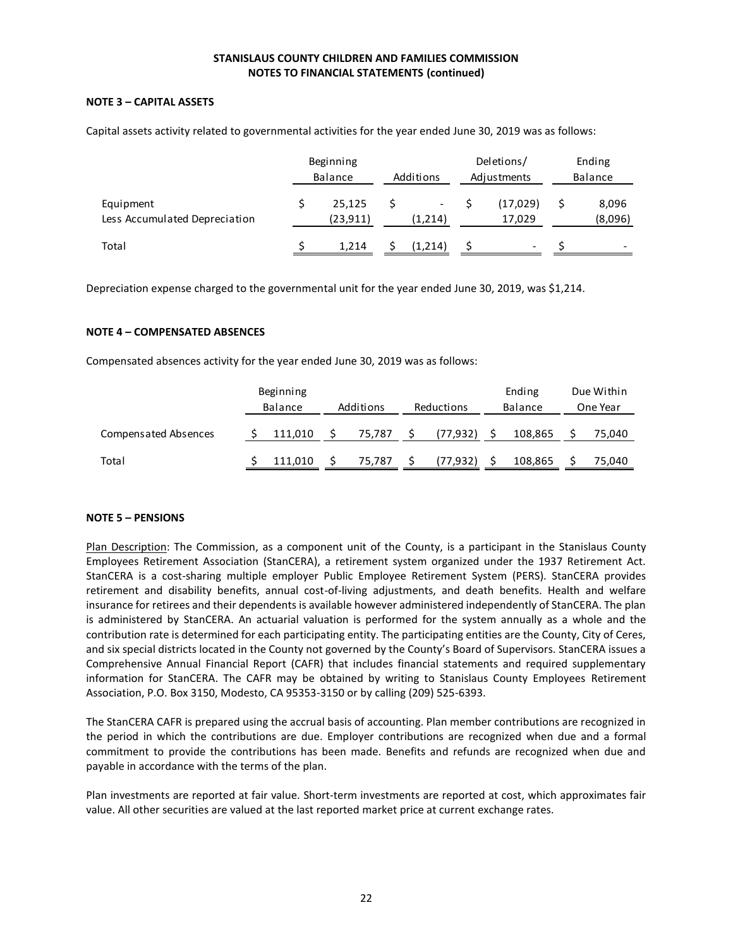# **NOTE 3 – CAPITAL ASSETS**

|                                            | Beginning<br>Balance      | Additions | Deletions/<br>Adjustments | Ending<br>Balance      |
|--------------------------------------------|---------------------------|-----------|---------------------------|------------------------|
| Equipment<br>Less Accumulated Depreciation | \$<br>25,125<br>(23, 911) | (1,214)   | (17,029)<br>17,029        | \$<br>8,096<br>(8,096) |
| Total                                      | 1,214                     | (1,214)   |                           |                        |

Depreciation expense charged to the governmental unit for the year ended June 30, 2019, was \$1,214.

#### **NOTE 4 – COMPENSATED ABSENCES**

| mpensated absences activity for the year ended June 30, 2019 was as follows: |  |                      |  |           |   |            |  |                   |                        |
|------------------------------------------------------------------------------|--|----------------------|--|-----------|---|------------|--|-------------------|------------------------|
|                                                                              |  | Beginning<br>Balance |  | Additions |   | Reductions |  | Ending<br>Balance | Due Within<br>One Year |
| <b>Compensated Absences</b>                                                  |  | 111,010              |  | 75,787    |   | (77, 932)  |  | 108,865           | 75,040                 |
| Total                                                                        |  | 111,010              |  | 75,787    | S | (77, 932)  |  | 108,865           | 75,040                 |

## **NOTE 5 – PENSIONS**

Plan Description: The Commission, as a component unit of the County, is a participant in the Stanislaus County Employees Retirement Association (StanCERA), a retirement system organized under the 1937 Retirement Act. StanCERA is a cost-sharing multiple employer Public Employee Retirement System (PERS). StanCERA provides retirement and disability benefits, annual cost-of-living adjustments, and death benefits. Health and welfare insurance for retirees and their dependents is available however administered independently of StanCERA. The plan is administered by StanCERA. An actuarial valuation is performed for the system annually as a whole and the contribution rate is determined for each participating entity. The participating entities are the County, City of Ceres, and six special districts located in the County not governed by the County's Board of Supervisors. StanCERA issues a Comprehensive Annual Financial Report (CAFR) that includes financial statements and required supplementary information for StanCERA. The CAFR may be obtained by writing to Stanislaus County Employees Retirement Association, P.O. Box 3150, Modesto, CA 95353-3150 or by calling (209) 525-6393.

The StanCERA CAFR is prepared using the accrual basis of accounting. Plan member contributions are recognized in the period in which the contributions are due. Employer contributions are recognized when due and a formal commitment to provide the contributions has been made. Benefits and refunds are recognized when due and payable in accordance with the terms of the plan.

Plan investments are reported at fair value. Short-term investments are reported at cost, which approximates fair value. All other securities are valued at the last reported market price at current exchange rates.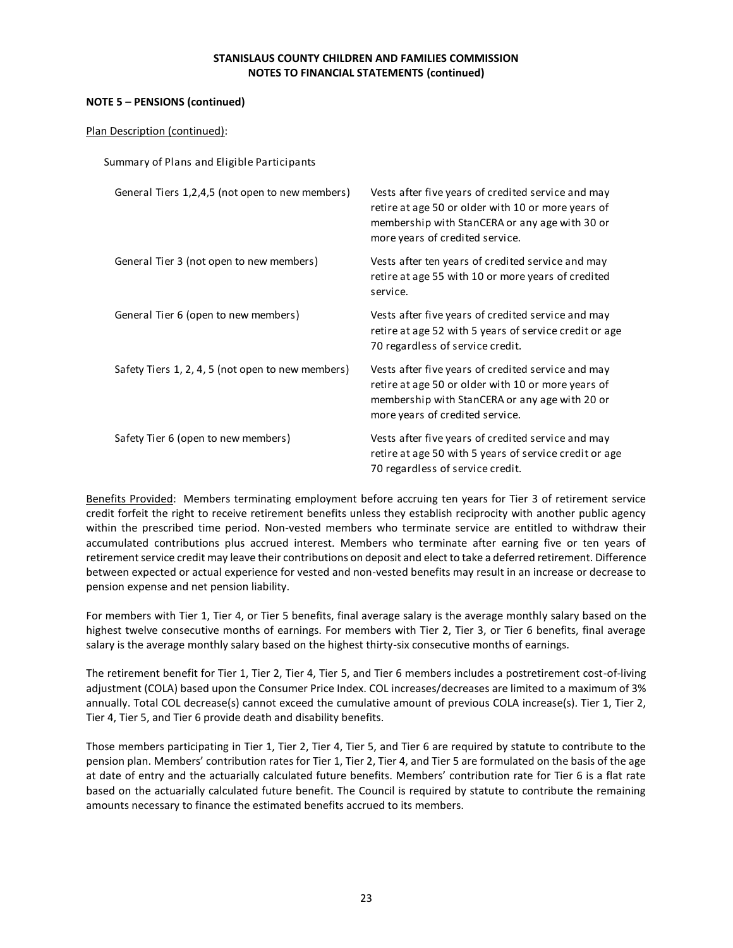## **NOTE 5 – PENSIONS (continued)**

| Plan Description (continued):                     |                                                                                                                                                                                               |
|---------------------------------------------------|-----------------------------------------------------------------------------------------------------------------------------------------------------------------------------------------------|
| Summary of Plans and Eligible Participants        |                                                                                                                                                                                               |
| General Tiers 1,2,4,5 (not open to new members)   | Vests after five years of credited service and may<br>retire at age 50 or older with 10 or more years of<br>membership with StanCERA or any age with 30 or<br>more years of credited service. |
| General Tier 3 (not open to new members)          | Vests after ten years of credited service and may<br>retire at age 55 with 10 or more years of credited<br>service.                                                                           |
| General Tier 6 (open to new members)              | Vests after five years of credited service and may<br>retire at age 52 with 5 years of service credit or age<br>70 regardless of service credit.                                              |
| Safety Tiers 1, 2, 4, 5 (not open to new members) | Vests after five years of credited service and may<br>retire at age 50 or older with 10 or more years of<br>membership with StanCERA or any age with 20 or<br>more years of credited service. |
| Safety Tier 6 (open to new members)               | Vests after five years of credited service and may<br>retire at age 50 with 5 years of service credit or age<br>70 regardless of service credit.                                              |

Benefits Provided: Members terminating employment before accruing ten years for Tier 3 of retirement service credit forfeit the right to receive retirement benefits unless they establish reciprocity with another public agency within the prescribed time period. Non-vested members who terminate service are entitled to withdraw their accumulated contributions plus accrued interest. Members who terminate after earning five or ten years of retirement service credit may leave their contributions on deposit and elect to take a deferred retirement. Difference between expected or actual experience for vested and non-vested benefits may result in an increase or decrease to pension expense and net pension liability.

For members with Tier 1, Tier 4, or Tier 5 benefits, final average salary is the average monthly salary based on the highest twelve consecutive months of earnings. For members with Tier 2, Tier 3, or Tier 6 benefits, final average salary is the average monthly salary based on the highest thirty-six consecutive months of earnings.

The retirement benefit for Tier 1, Tier 2, Tier 4, Tier 5, and Tier 6 members includes a postretirement cost-of-living adjustment (COLA) based upon the Consumer Price Index. COL increases/decreases are limited to a maximum of 3% annually. Total COL decrease(s) cannot exceed the cumulative amount of previous COLA increase(s). Tier 1, Tier 2, Tier 4, Tier 5, and Tier 6 provide death and disability benefits.

Those members participating in Tier 1, Tier 2, Tier 4, Tier 5, and Tier 6 are required by statute to contribute to the pension plan. Members' contribution rates for Tier 1, Tier 2, Tier 4, and Tier 5 are formulated on the basis of the age at date of entry and the actuarially calculated future benefits. Members' contribution rate for Tier 6 is a flat rate based on the actuarially calculated future benefit. The Council is required by statute to contribute the remaining amounts necessary to finance the estimated benefits accrued to its members.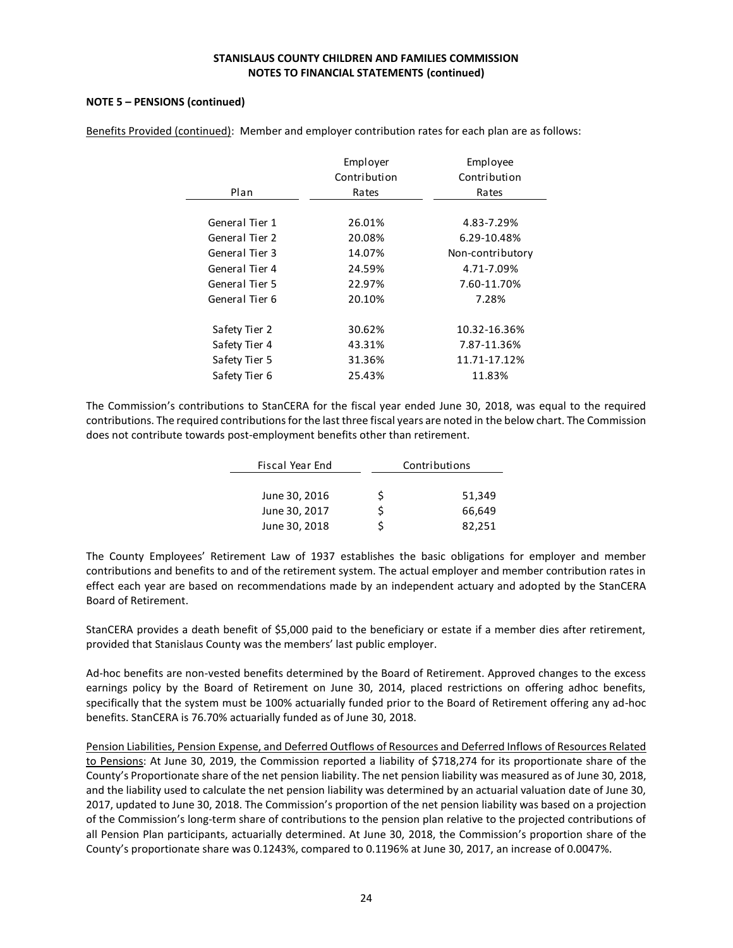## **NOTE 5 – PENSIONS (continued)**

| Plan           | Employer<br>Contribution<br>Rates | Employee<br>Contribution<br>Rates |
|----------------|-----------------------------------|-----------------------------------|
| General Tier 1 | 26.01%                            | 4.83-7.29%                        |
| General Tier 2 | 20.08%                            | 6.29-10.48%                       |
| General Tier 3 | 14.07%                            | Non-contributory                  |
| General Tier 4 | 24.59%                            | 4.71-7.09%                        |
| General Tier 5 | 22.97%                            | 7.60-11.70%                       |
| General Tier 6 | 20.10%                            | 7.28%                             |
| Safety Tier 2  | 30.62%                            | 10.32-16.36%                      |
| Safety Tier 4  | 43.31%                            | 7.87-11.36%                       |
| Safety Tier 5  | 31.36%                            | 11.71-17.12%                      |
| Safety Tier 6  | 25.43%                            | 11.83%                            |

Benefits Provided (continued): Member and employer contribution rates for each plan are as follows:

The Commission's contributions to StanCERA for the fiscal year ended June 30, 2018, was equal to the required contributions. The required contributions for the last three fiscal years are noted in the below chart. The Commission does not contribute towards post-employment benefits other than retirement.

| Fiscal Year End |   | Contributions |  |  |  |
|-----------------|---|---------------|--|--|--|
|                 |   |               |  |  |  |
| June 30, 2016   | S | 51,349        |  |  |  |
| June 30, 2017   |   | 66,649        |  |  |  |
| June 30, 2018   |   | 82,251        |  |  |  |

The County Employees' Retirement Law of 1937 establishes the basic obligations for employer and member contributions and benefits to and of the retirement system. The actual employer and member contribution rates in effect each year are based on recommendations made by an independent actuary and adopted by the StanCERA Board of Retirement.

StanCERA provides a death benefit of \$5,000 paid to the beneficiary or estate if a member dies after retirement, provided that Stanislaus County was the members' last public employer.

Ad-hoc benefits are non-vested benefits determined by the Board of Retirement. Approved changes to the excess earnings policy by the Board of Retirement on June 30, 2014, placed restrictions on offering adhoc benefits, specifically that the system must be 100% actuarially funded prior to the Board of Retirement offering any ad-hoc benefits. StanCERA is 76.70% actuarially funded as of June 30, 2018.

Pension Liabilities, Pension Expense, and Deferred Outflows of Resources and Deferred Inflows of Resources Related to Pensions: At June 30, 2019, the Commission reported a liability of \$718,274 for its proportionate share of the County's Proportionate share of the net pension liability. The net pension liability was measured as of June 30, 2018, and the liability used to calculate the net pension liability was determined by an actuarial valuation date of June 30, 2017, updated to June 30, 2018. The Commission's proportion of the net pension liability was based on a projection of the Commission's long-term share of contributions to the pension plan relative to the projected contributions of all Pension Plan participants, actuarially determined. At June 30, 2018, the Commission's proportion share of the County's proportionate share was 0.1243%, compared to 0.1196% at June 30, 2017, an increase of 0.0047%.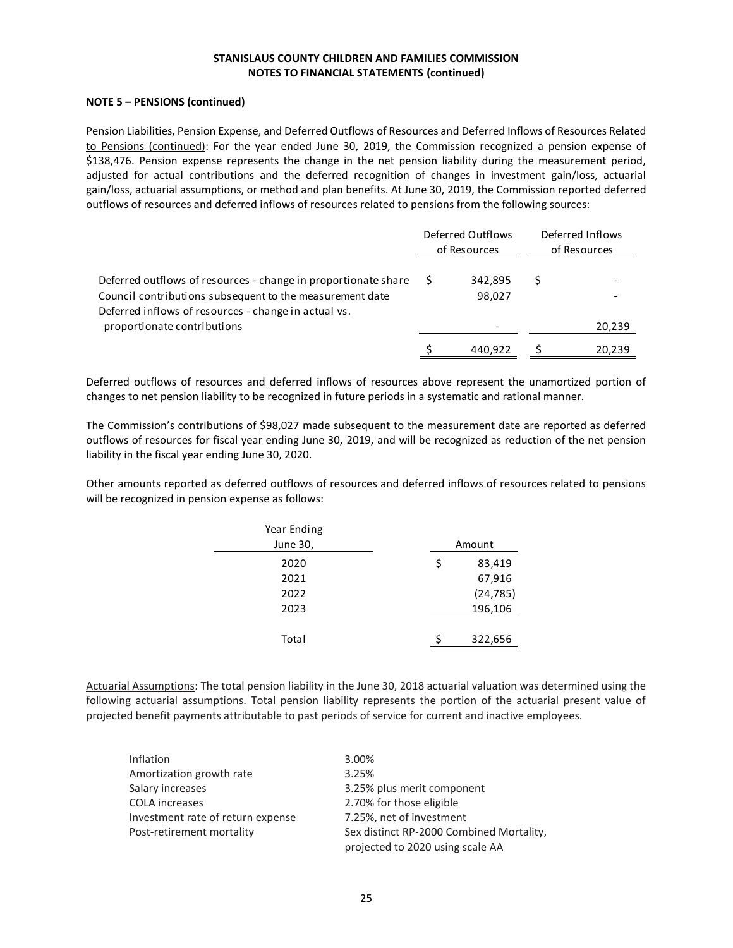## **NOTE 5 – PENSIONS (continued)**

Pension Liabilities, Pension Expense, and Deferred Outflows of Resources and Deferred Inflows of Resources Related to Pensions (continued): For the year ended June 30, 2019, the Commission recognized a pension expense of \$138,476. Pension expense represents the change in the net pension liability during the measurement period, adjusted for actual contributions and the deferred recognition of changes in investment gain/loss, actuarial gain/loss, actuarial assumptions, or method and plan benefits. At June 30, 2019, the Commission reported deferred outflows of resources and deferred inflows of resources related to pensions from the following sources:

|                                                                                                                                                                                    | Deferred Outflows<br>of Resources |                   | Deferred Inflows<br>of Resources |
|------------------------------------------------------------------------------------------------------------------------------------------------------------------------------------|-----------------------------------|-------------------|----------------------------------|
| Deferred outflows of resources - change in proportionate share<br>Council contributions subsequent to the measurement date<br>Deferred inflows of resources - change in actual vs. |                                   | 342.895<br>98,027 |                                  |
| proportionate contributions                                                                                                                                                        |                                   |                   | 20,239                           |
|                                                                                                                                                                                    |                                   | 440.922           | 20,239                           |

Deferred outflows of resources and deferred inflows of resources above represent the unamortized portion of changes to net pension liability to be recognized in future periods in a systematic and rational manner.

The Commission's contributions of \$98,027 made subsequent to the measurement date are reported as deferred outflows of resources for fiscal year ending June 30, 2019, and will be recognized as reduction of the net pension liability in the fiscal year ending June 30, 2020.

Other amounts reported as deferred outflows of resources and deferred inflows of resources related to pensions will be recognized in pension expense as follows:

| Year Ending |    |           |
|-------------|----|-----------|
| June 30,    |    | Amount    |
| 2020        | \$ | 83,419    |
| 2021        |    | 67,916    |
| 2022        |    | (24, 785) |
| 2023        |    | 196,106   |
|             |    |           |
| Total       |    | 322,656   |
|             |    |           |

Actuarial Assumptions: The total pension liability in the June 30, 2018 actuarial valuation was determined using the following actuarial assumptions. Total pension liability represents the portion of the actuarial present value of projected benefit payments attributable to past periods of service for current and inactive employees.

| <b>Inflation</b>                  | 3.00%                                    |
|-----------------------------------|------------------------------------------|
| Amortization growth rate          | 3.25%                                    |
| Salary increases                  | 3.25% plus merit component               |
| <b>COLA</b> increases             | 2.70% for those eligible                 |
| Investment rate of return expense | 7.25%, net of investment                 |
| Post-retirement mortality         | Sex distinct RP-2000 Combined Mortality, |
|                                   | projected to 2020 using scale AA         |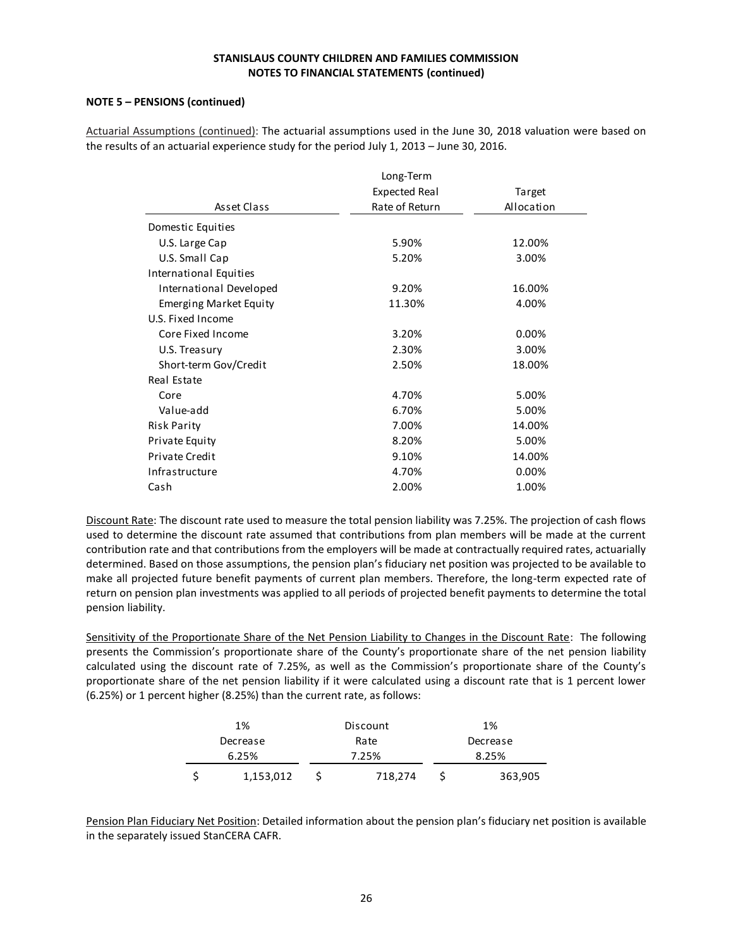## **NOTE 5 – PENSIONS (continued)**

| Actuarial Assumptions (continued): The actuarial assumptions used in the June 30, 2018 valuation were based on |
|----------------------------------------------------------------------------------------------------------------|
| the results of an actuarial experience study for the period July 1, 2013 – June 30, 2016.                      |

|                         | Long-Term            |            |  |  |
|-------------------------|----------------------|------------|--|--|
|                         | <b>Expected Real</b> | Target     |  |  |
| Asset Class             | Rate of Return       | Allocation |  |  |
| Domestic Equities       |                      |            |  |  |
| U.S. Large Cap          | 5.90%                | 12.00%     |  |  |
| U.S. Small Cap          | 5.20%                | 3.00%      |  |  |
| International Equities  |                      |            |  |  |
| International Developed | 9.20%                | 16.00%     |  |  |
| Emerging Market Equity  | 11.30%               | 4.00%      |  |  |
| U.S. Fixed Income       |                      |            |  |  |
| Core Fixed Income       | 3.20%                | 0.00%      |  |  |
| U.S. Treasury           | 2.30%                | 3.00%      |  |  |
| Short-term Gov/Credit   | 2.50%                | 18.00%     |  |  |
| Real Estate             |                      |            |  |  |
| Core                    | 4.70%                | 5.00%      |  |  |
| Value-add               | 6.70%                | 5.00%      |  |  |
| <b>Risk Parity</b>      | 7.00%                | 14.00%     |  |  |
| Private Equity          | 8.20%                | 5.00%      |  |  |
| <b>Private Credit</b>   | 9.10%                | 14.00%     |  |  |
| Infrastructure          | 4.70%                | 0.00%      |  |  |
| Cash                    | 2.00%                | 1.00%      |  |  |

Discount Rate: The discount rate used to measure the total pension liability was 7.25%. The projection of cash flows used to determine the discount rate assumed that contributions from plan members will be made at the current contribution rate and that contributions from the employers will be made at contractually required rates, actuarially determined. Based on those assumptions, the pension plan's fiduciary net position was projected to be available to make all projected future benefit payments of current plan members. Therefore, the long-term expected rate of return on pension plan investments was applied to all periods of projected benefit payments to determine the total pension liability.

Sensitivity of the Proportionate Share of the Net Pension Liability to Changes in the Discount Rate: The following presents the Commission's proportionate share of the County's proportionate share of the net pension liability calculated using the discount rate of 7.25%, as well as the Commission's proportionate share of the County's proportionate share of the net pension liability if it were calculated using a discount rate that is 1 percent lower

| (6.25%) or 1 percent higher (8.25%) than the current rate, as follows: |  |           |  |          |  |         |  |  |
|------------------------------------------------------------------------|--|-----------|--|----------|--|---------|--|--|
|                                                                        |  | 1%        |  | Discount |  | 1%      |  |  |
| Rate<br>Decrease<br>Decrease                                           |  |           |  |          |  |         |  |  |
| 6.25%                                                                  |  |           |  | 7.25%    |  | 8.25%   |  |  |
|                                                                        |  | 1,153,012 |  | 718,274  |  | 363,905 |  |  |

Pension Plan Fiduciary Net Position: Detailed information about the pension plan's fiduciary net position is available in the separately issued StanCERA CAFR.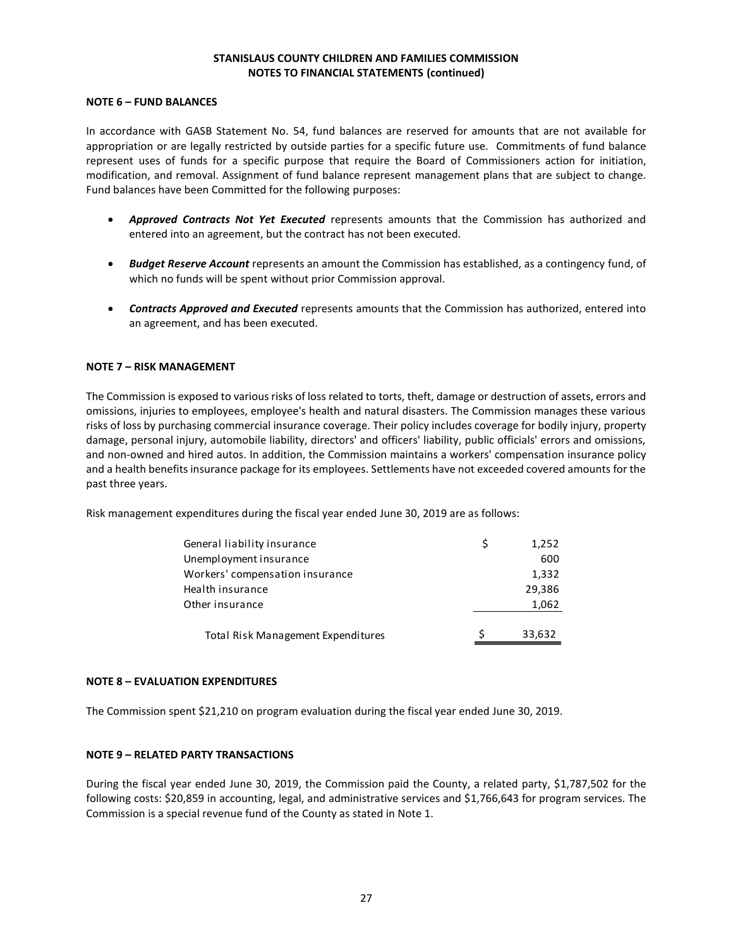## **NOTE 6 – FUND BALANCES**

In accordance with GASB Statement No. 54, fund balances are reserved for amounts that are not available for appropriation or are legally restricted by outside parties for a specific future use. Commitments of fund balance represent uses of funds for a specific purpose that require the Board of Commissioners action for initiation, modification, and removal. Assignment of fund balance represent management plans that are subject to change. Fund balances have been Committed for the following purposes:

- *Approved Contracts Not Yet Executed* represents amounts that the Commission has authorized and entered into an agreement, but the contract has not been executed.
- *Budget Reserve Account* represents an amount the Commission has established, as a contingency fund, of which no funds will be spent without prior Commission approval.
- *Contracts Approved and Executed* represents amounts that the Commission has authorized, entered into an agreement, and has been executed.

#### **NOTE 7 – RISK MANAGEMENT**

The Commission is exposed to various risks of loss related to torts, theft, damage or destruction of assets, errors and omissions, injuries to employees, employee's health and natural disasters. The Commission manages these various risks of loss by purchasing commercial insurance coverage. Their policy includes coverage for bodily injury, property damage, personal injury, automobile liability, directors' and officers' liability, public officials' errors and omissions, and non-owned and hired autos. In addition, the Commission maintains a workers' compensation insurance policy and a health benefits insurance package for its employees. Settlements have not exceeded covered amounts for the past three years.

Risk management expenditures during the fiscal year ended June 30, 2019 are as follows:

| General liability insurance        | 1,252  |
|------------------------------------|--------|
| Unemployment insurance             | 600    |
| Workers' compensation insurance    | 1,332  |
| Health insurance                   | 29,386 |
| Other insurance                    | 1,062  |
|                                    |        |
| Total Risk Management Expenditures | 33,632 |
|                                    |        |

#### **NOTE 8 – EVALUATION EXPENDITURES**

The Commission spent \$21,210 on program evaluation during the fiscal year ended June 30, 2019.

#### **NOTE 9 – RELATED PARTY TRANSACTIONS**

During the fiscal year ended June 30, 2019, the Commission paid the County, a related party, \$1,787,502 for the following costs: \$20,859 in accounting, legal, and administrative services and \$1,766,643 for program services. The Commission is a special revenue fund of the County as stated in Note 1.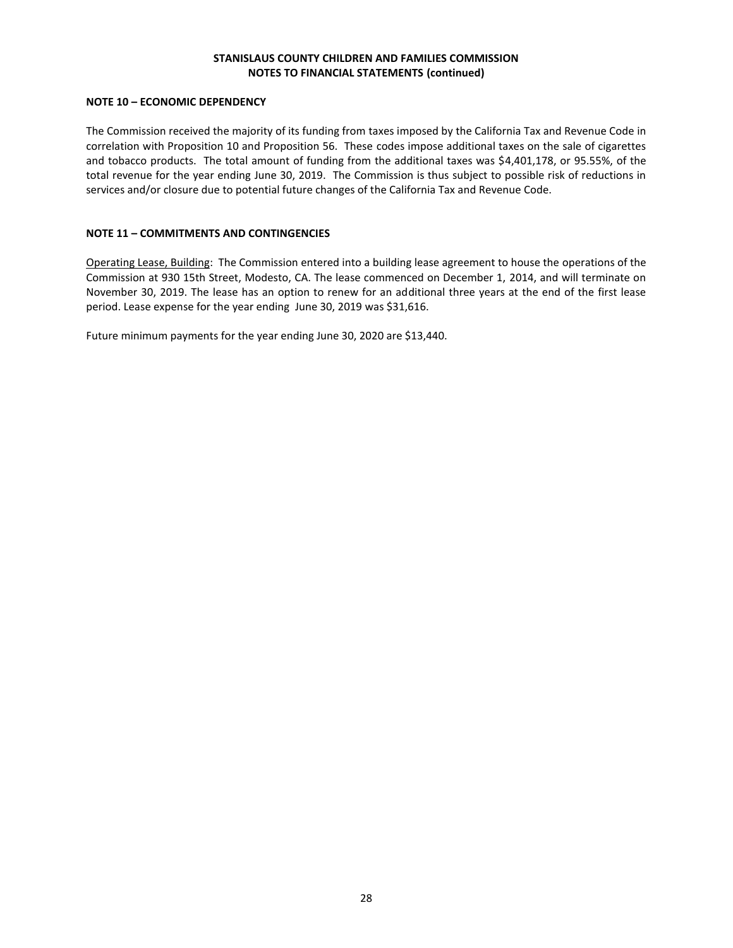## **NOTE 10 – ECONOMIC DEPENDENCY**

The Commission received the majority of its funding from taxes imposed by the California Tax and Revenue Code in correlation with Proposition 10 and Proposition 56. These codes impose additional taxes on the sale of cigarettes and tobacco products. The total amount of funding from the additional taxes was \$4,401,178, or 95.55%, of the total revenue for the year ending June 30, 2019. The Commission is thus subject to possible risk of reductions in services and/or closure due to potential future changes of the California Tax and Revenue Code.

## **NOTE 11 – COMMITMENTS AND CONTINGENCIES**

Operating Lease, Building: The Commission entered into a building lease agreement to house the operations of the Commission at 930 15th Street, Modesto, CA. The lease commenced on December 1, 2014, and will terminate on November 30, 2019. The lease has an option to renew for an additional three years at the end of the first lease period. Lease expense for the year ending June 30, 2019 was \$31,616.

Future minimum payments for the year ending June 30, 2020 are \$13,440.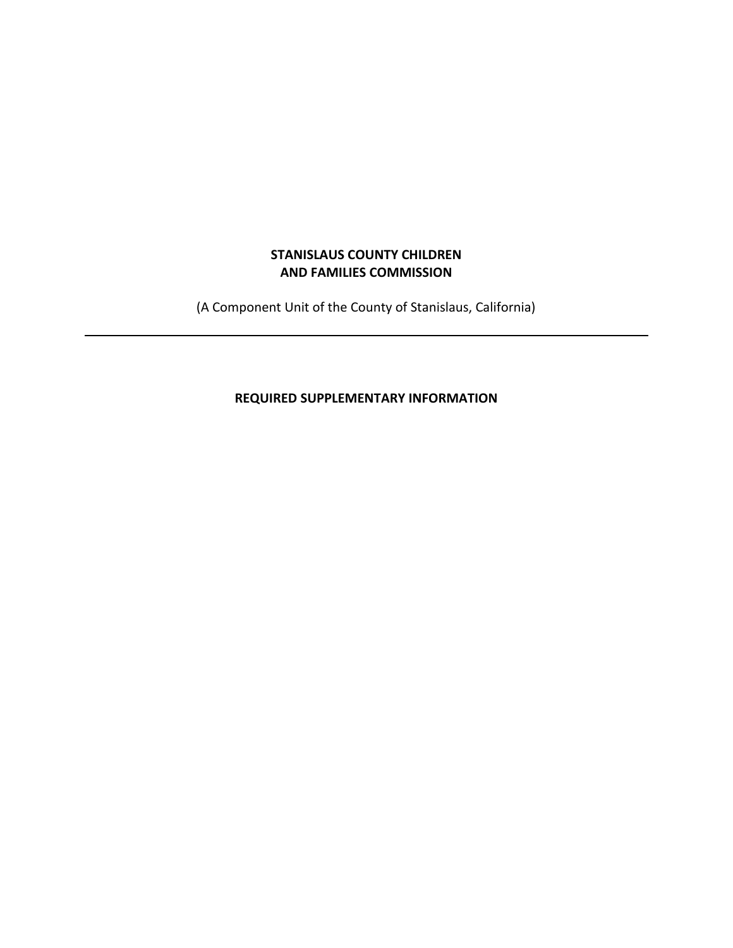# **STANISLAUS COUNTY CHILDREN AND FAMILIES COMMISSION**

(A Component Unit of the County of Stanislaus, California)

**REQUIRED SUPPLEMENTARY INFORMATION**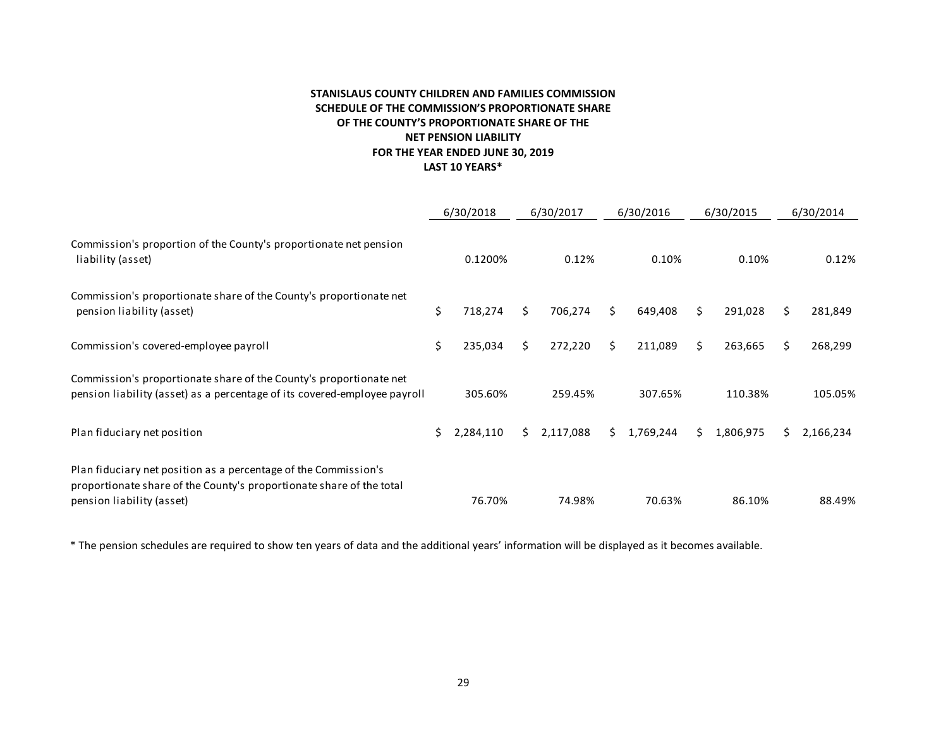# **STANISLAUS COUNTY CHILDREN AND FAMILIES COMMISSION SCHEDULE OF THE COMMISSION'S PROPORTIONATE SHARE OF THE COUNTY'S PROPORTIONATE SHARE OF THE NET PENSION LIABILITY FOR THE YEAR ENDED JUNE 30, 2019 LAST 10 YEARS\***

|                                                                                                                                                                      | 6/30/2018 |           | 6/30/2017 |           | 6/30/2016 |           |    | 6/30/2015 | 6/30/2014 |           |
|----------------------------------------------------------------------------------------------------------------------------------------------------------------------|-----------|-----------|-----------|-----------|-----------|-----------|----|-----------|-----------|-----------|
| Commission's proportion of the County's proportionate net pension<br>liability (asset)                                                                               |           | 0.1200%   |           | 0.12%     |           | 0.10%     |    | 0.10%     |           | 0.12%     |
| Commission's proportionate share of the County's proportionate net<br>pension liability (asset)                                                                      | \$        | 718,274   | Ś.        | 706,274   | Ś.        | 649,408   | Ś. | 291,028   | Ś.        | 281,849   |
| Commission's covered-employee payroll                                                                                                                                | \$        | 235,034   | Ś.        | 272,220   | Ś.        | 211,089   | S. | 263,665   | Ś.        | 268,299   |
| Commission's proportionate share of the County's proportionate net<br>pension liability (asset) as a percentage of its covered-employee payroll                      |           | 305.60%   |           | 259.45%   |           | 307.65%   |    | 110.38%   |           | 105.05%   |
| Plan fiduciary net position                                                                                                                                          | Ś.        | 2,284,110 | Ś.        | 2,117,088 | Ś.        | 1,769,244 | S. | 1,806,975 | S.        | 2,166,234 |
| Plan fiduciary net position as a percentage of the Commission's<br>proportionate share of the County's proportionate share of the total<br>pension liability (asset) |           | 76.70%    |           | 74.98%    |           | 70.63%    |    | 86.10%    |           | 88.49%    |

\* The pension schedules are required to show ten years of data and the additional years' information will be displayed as it becomes available.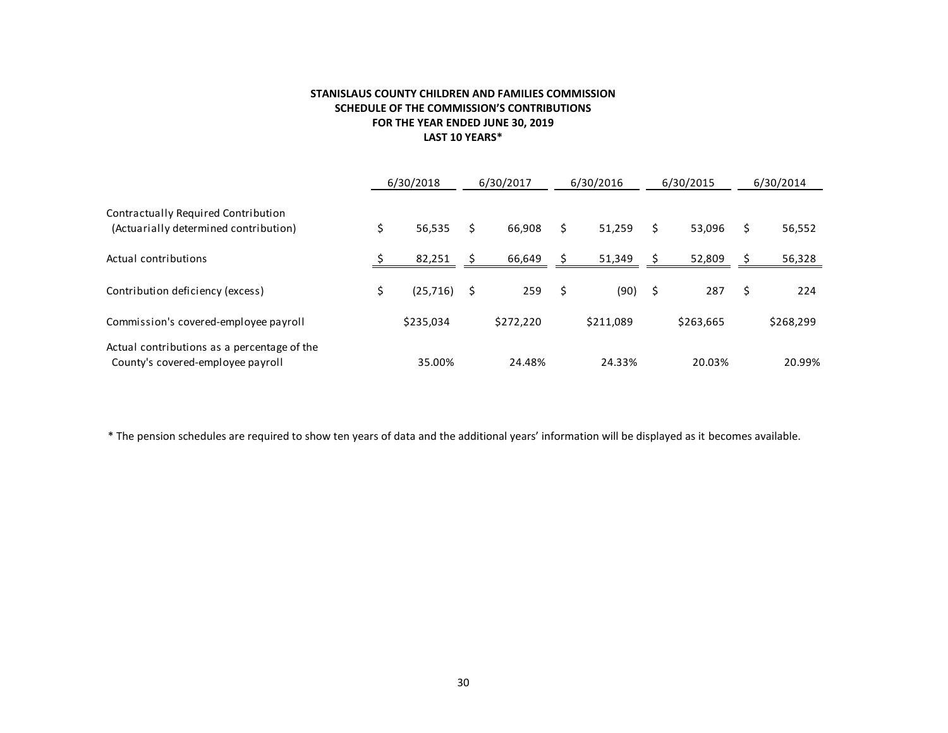# **STANISLAUS COUNTY CHILDREN AND FAMILIES COMMISSION SCHEDULE OF THE COMMISSION'S CONTRIBUTIONS FOR THE YEAR ENDED JUNE 30, 2019 LAST 10 YEARS\***

|                                                                                  | 6/30/2018       | 6/30/2017 |           |    | 6/30/2016 | 6/30/2015 |           | 6/30/2014    |  |
|----------------------------------------------------------------------------------|-----------------|-----------|-----------|----|-----------|-----------|-----------|--------------|--|
| Contractually Required Contribution<br>(Actuarially determined contribution)     | \$<br>56,535    | \$        | 66,908    | Ś  | 51,259    | Ś.        | 53,096    | \$<br>56,552 |  |
| Actual contributions                                                             | 82,251          |           | 66,649    |    | 51,349    |           | 52,809    | 56,328       |  |
| Contribution deficiency (excess)                                                 | \$<br>(25, 716) | \$        | 259       | \$ | (90)      | S         | 287       | \$<br>224    |  |
| Commission's covered-employee payroll                                            | \$235,034       |           | \$272,220 |    | \$211,089 |           | \$263,665 | \$268,299    |  |
| Actual contributions as a percentage of the<br>County's covered-employee payroll | 35.00%          |           | 24.48%    |    | 24.33%    |           | 20.03%    | 20.99%       |  |

\* The pension schedules are required to show ten years of data and the additional years' information will be displayed as it becomes available.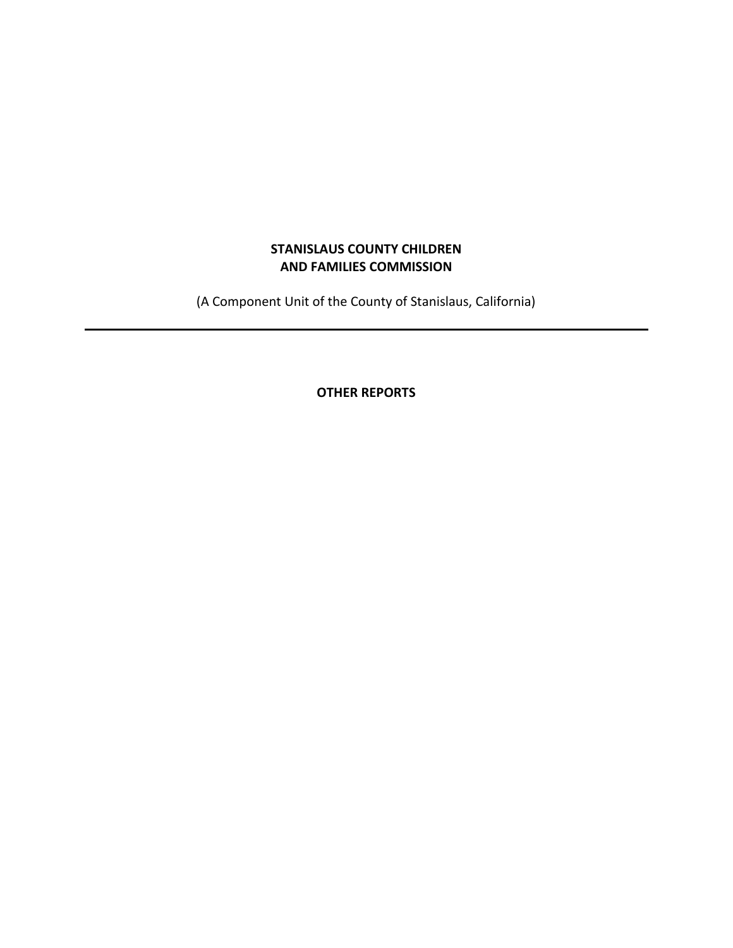# **STANISLAUS COUNTY CHILDREN AND FAMILIES COMMISSION**

(A Component Unit of the County of Stanislaus, California)

**OTHER REPORTS**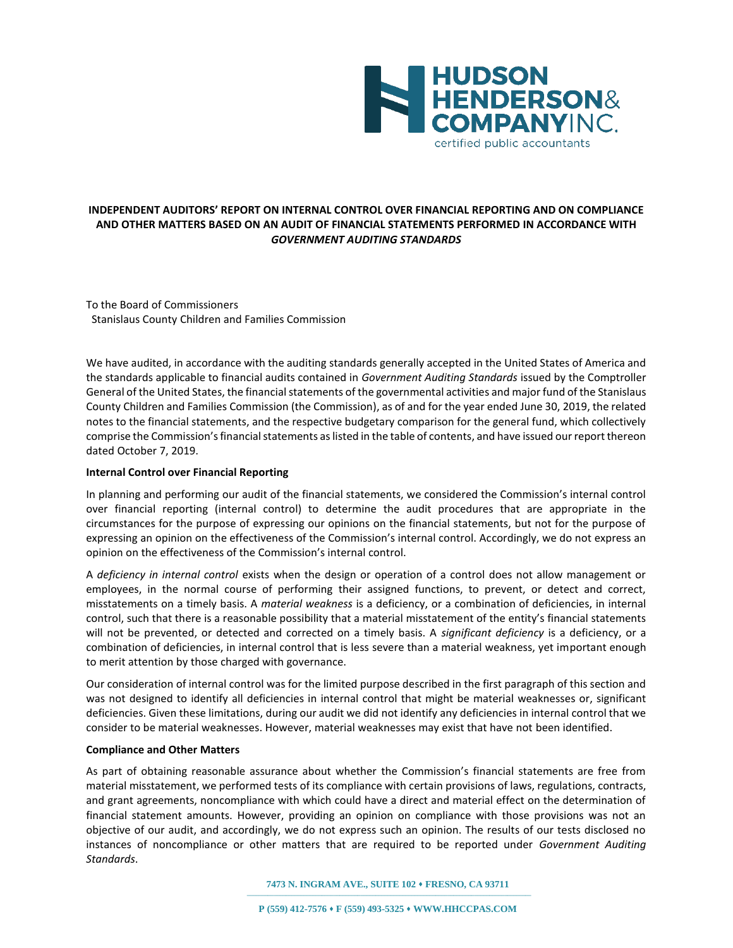

# **INDEPENDENT AUDITORS' REPORT ON INTERNAL CONTROL OVER FINANCIAL REPORTING AND ON COMPLIANCE AND OTHER MATTERS BASED ON AN AUDIT OF FINANCIAL STATEMENTS PERFORMED IN ACCORDANCE WITH**  *GOVERNMENT AUDITING STANDARDS*

To the Board of Commissioners Stanislaus County Children and Families Commission

We have audited, in accordance with the auditing standards generally accepted in the United States of America and the standards applicable to financial audits contained in *Government Auditing Standards* issued by the Comptroller General of the United States, the financial statements of the governmental activities and major fund of the Stanislaus County Children and Families Commission (the Commission), as of and for the year ended June 30, 2019, the related notes to the financial statements, and the respective budgetary comparison for the general fund, which collectively comprise the Commission's financial statements as listed in the table of contents, and have issued our report thereon dated October 7, 2019.

#### **Internal Control over Financial Reporting**

In planning and performing our audit of the financial statements, we considered the Commission's internal control over financial reporting (internal control) to determine the audit procedures that are appropriate in the circumstances for the purpose of expressing our opinions on the financial statements, but not for the purpose of expressing an opinion on the effectiveness of the Commission's internal control. Accordingly, we do not express an opinion on the effectiveness of the Commission's internal control.

A *deficiency in internal control* exists when the design or operation of a control does not allow management or employees, in the normal course of performing their assigned functions, to prevent, or detect and correct, misstatements on a timely basis. A *material weakness* is a deficiency, or a combination of deficiencies, in internal control, such that there is a reasonable possibility that a material misstatement of the entity's financial statements will not be prevented, or detected and corrected on a timely basis. A *significant deficiency* is a deficiency, or a combination of deficiencies, in internal control that is less severe than a material weakness, yet important enough to merit attention by those charged with governance.

Our consideration of internal control was for the limited purpose described in the first paragraph of this section and was not designed to identify all deficiencies in internal control that might be material weaknesses or, significant deficiencies. Given these limitations, during our audit we did not identify any deficiencies in internal control that we consider to be material weaknesses. However, material weaknesses may exist that have not been identified.

#### **Compliance and Other Matters**

As part of obtaining reasonable assurance about whether the Commission's financial statements are free from material misstatement, we performed tests of its compliance with certain provisions of laws, regulations, contracts, and grant agreements, noncompliance with which could have a direct and material effect on the determination of financial statement amounts. However, providing an opinion on compliance with those provisions was not an objective of our audit, and accordingly, we do not express such an opinion. The results of our tests disclosed no instances of noncompliance or other matters that are required to be reported under *Government Auditing Standards*.

**7473 N. INGRAM AVE., SUITE 102 FRESNO, CA 93711**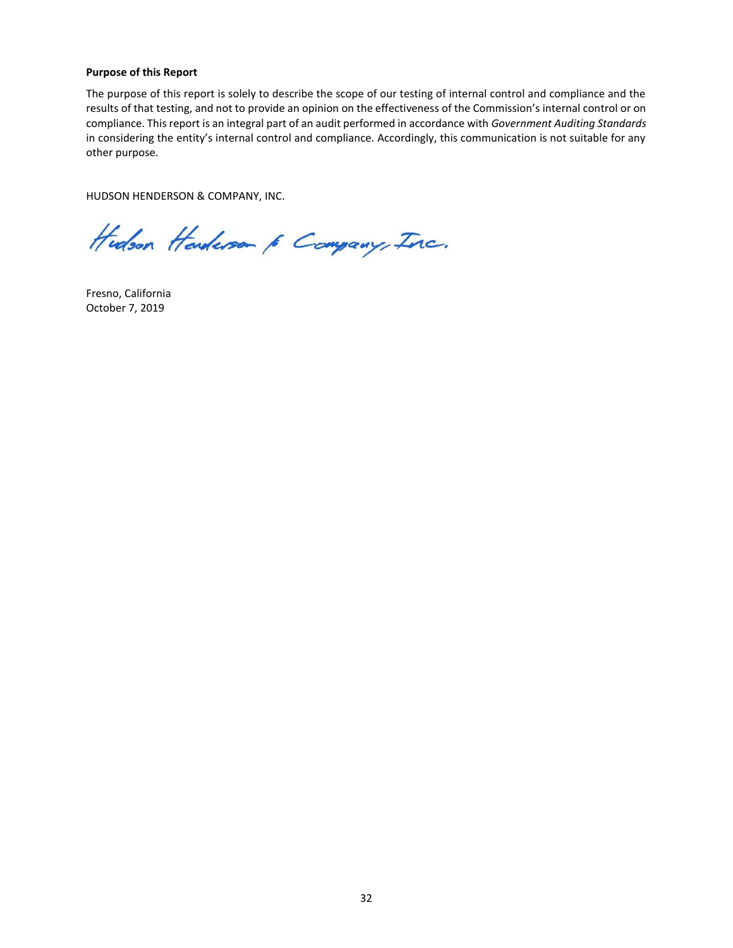#### **Purpose of this Report**

The purpose of this report is solely to describe the scope of our testing of internal control and compliance and the results of that testing, and not to provide an opinion on the effectiveness of the Commission's internal control or on compliance. This report is an integral part of an audit performed in accordance with *Government Auditing Standards* in considering the entity's internal control and compliance. Accordingly, this communication is not suitable for any other purpose.

HUDSON HENDERSON & COMPANY, INC.

Hudson Handerson & Company, Inc.

Fresno, California October 7, 2019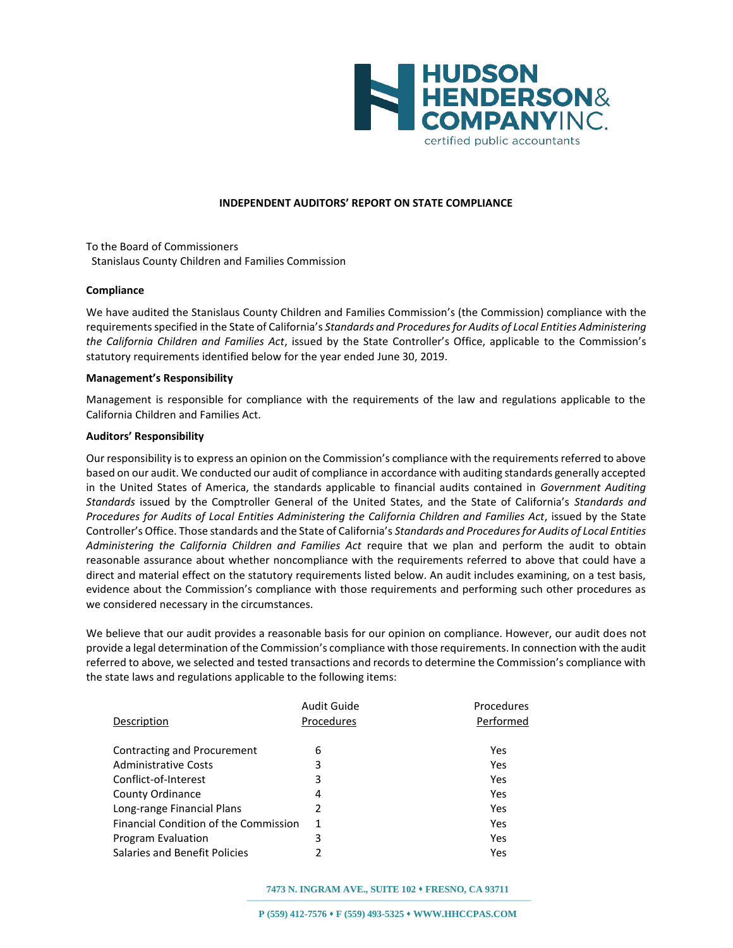

#### **INDEPENDENT AUDITORS' REPORT ON STATE COMPLIANCE**

To the Board of Commissioners Stanislaus County Children and Families Commission

#### **Compliance**

We have audited the Stanislaus County Children and Families Commission's (the Commission) compliance with the requirements specified in the State of California's *Standards and Procedures for Audits of Local Entities Administering the California Children and Families Act*, issued by the State Controller's Office, applicable to the Commission's statutory requirements identified below for the year ended June 30, 2019.

#### **Management's Responsibility**

Management is responsible for compliance with the requirements of the law and regulations applicable to the California Children and Families Act.

#### **Auditors' Responsibility**

Our responsibility is to express an opinion on the Commission's compliance with the requirements referred to above based on our audit. We conducted our audit of compliance in accordance with auditing standards generally accepted in the United States of America, the standards applicable to financial audits contained in *Government Auditing Standards* issued by the Comptroller General of the United States, and the State of California's *Standards and Procedures for Audits of Local Entities Administering the California Children and Families Act*, issued by the State Controller's Office. Those standards and the State of California's *Standards and Procedures for Audits of Local Entities Administering the California Children and Families Act* require that we plan and perform the audit to obtain reasonable assurance about whether noncompliance with the requirements referred to above that could have a direct and material effect on the statutory requirements listed below. An audit includes examining, on a test basis, evidence about the Commission's compliance with those requirements and performing such other procedures as we considered necessary in the circumstances.

We believe that our audit provides a reasonable basis for our opinion on compliance. However, our audit does not provide a legal determination of the Commission's compliance with those requirements. In connection with the audit referred to above, we selected and tested transactions and records to determine the Commission's compliance with the state laws and regulations applicable to the following items:

|                                              | Audit Guide | <b>Procedures</b> |
|----------------------------------------------|-------------|-------------------|
| Description                                  | Procedures  | Performed         |
|                                              |             |                   |
| Contracting and Procurement                  | 6           | Yes               |
| <b>Administrative Costs</b>                  | 3           | Yes               |
| Conflict-of-Interest                         | 3           | Yes               |
| County Ordinance                             | 4           | Yes               |
| Long-range Financial Plans                   | 2           | Yes               |
| <b>Financial Condition of the Commission</b> |             | Yes               |
| Program Evaluation                           | 3           | Yes               |
| Salaries and Benefit Policies                |             | Yes               |
|                                              |             |                   |

**7473 N. INGRAM AVE., SUITE 102 FRESNO, CA 93711**